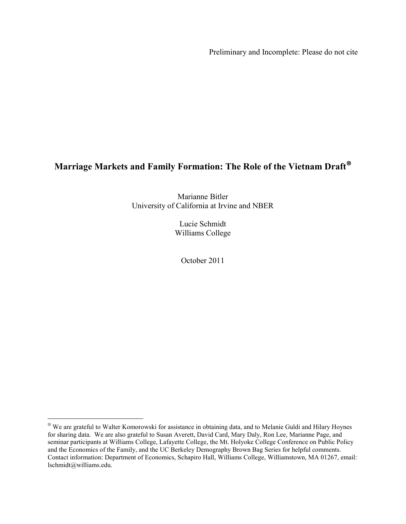Preliminary and Incomplete: Please do not cite

# **Marriage Markets and Family Formation: The Role of the Vietnam Draft**

Marianne Bitler University of California at Irvine and NBER

> Lucie Schmidt Williams College

> > October 2011

 $\overline{a}$ 

<span id="page-0-0"></span>We are grateful to Walter Komorowski for assistance in obtaining data, and to Melanie Guldi and Hilary Hoynes for sharing data. We are also grateful to Susan Averett, David Card, Mary Daly, Ron Lee, Marianne Page, and seminar participants at Williams College, Lafayette College, the Mt. Holyoke College Conference on Public Policy and the Economics of the Family, and the UC Berkeley Demography Brown Bag Series for helpful comments. Contact information: Department of Economics, Schapiro Hall, Williams College, Williamstown, MA 01267, email: lschmidt@williams.edu.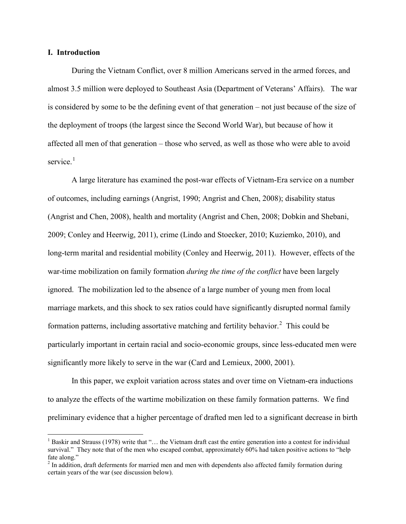#### **I. Introduction**

During the Vietnam Conflict, over 8 million Americans served in the armed forces, and almost 3.5 million were deployed to Southeast Asia (Department of Veterans' Affairs). The war is considered by some to be the defining event of that generation – not just because of the size of the deployment of troops (the largest since the Second World War), but because of how it affected all men of that generation – those who served, as well as those who were able to avoid service $1$ 

A large literature has examined the post-war effects of Vietnam-Era service on a number of outcomes, including earnings (Angrist, 1990; Angrist and Chen, 2008); disability status (Angrist and Chen, 2008), health and mortality (Angrist and Chen, 2008; Dobkin and Shebani, 2009; Conley and Heerwig, 2011), crime (Lindo and Stoecker, 2010; Kuziemko, 2010), and long-term marital and residential mobility (Conley and Heerwig, 2011). However, effects of the war-time mobilization on family formation *during the time of the conflict* have been largely ignored. The mobilization led to the absence of a large number of young men from local marriage markets, and this shock to sex ratios could have significantly disrupted normal family formation patterns, including assortative matching and fertility behavior.<sup>[2](#page-1-1)</sup> This could be particularly important in certain racial and socio-economic groups, since less-educated men were significantly more likely to serve in the war (Card and Lemieux, 2000, 2001).

In this paper, we exploit variation across states and over time on Vietnam-era inductions to analyze the effects of the wartime mobilization on these family formation patterns. We find preliminary evidence that a higher percentage of drafted men led to a significant decrease in birth

<span id="page-1-0"></span><sup>&</sup>lt;sup>1</sup> Baskir and Strauss (1978) write that "… the Vietnam draft cast the entire generation into a contest for individual survival." They note that of the men who escaped combat, approximately 60% had taken positive actions to "help fate along."

<span id="page-1-1"></span><sup>&</sup>lt;sup>2</sup> In addition, draft deferments for married men and men with dependents also affected family formation during certain years of the war (see discussion below).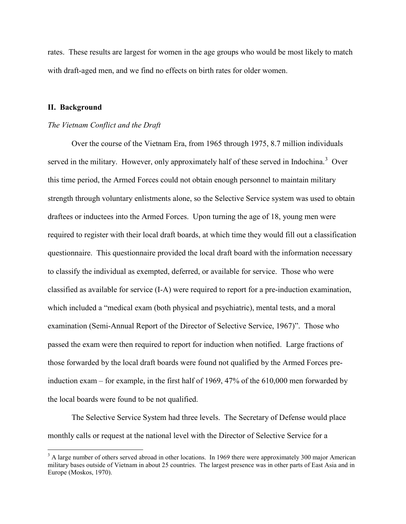rates. These results are largest for women in the age groups who would be most likely to match with draft-aged men, and we find no effects on birth rates for older women.

#### **II. Background**

#### *The Vietnam Conflict and the Draft*

Over the course of the Vietnam Era, from 1965 through 1975, 8.7 million individuals served in the military. However, only approximately half of these served in Indochina.<sup>[3](#page-2-0)</sup> Over this time period, the Armed Forces could not obtain enough personnel to maintain military strength through voluntary enlistments alone, so the Selective Service system was used to obtain draftees or inductees into the Armed Forces. Upon turning the age of 18, young men were required to register with their local draft boards, at which time they would fill out a classification questionnaire. This questionnaire provided the local draft board with the information necessary to classify the individual as exempted, deferred, or available for service. Those who were classified as available for service (I-A) were required to report for a pre-induction examination, which included a "medical exam (both physical and psychiatric), mental tests, and a moral examination (Semi-Annual Report of the Director of Selective Service, 1967)". Those who passed the exam were then required to report for induction when notified. Large fractions of those forwarded by the local draft boards were found not qualified by the Armed Forces preinduction exam – for example, in the first half of 1969, 47% of the 610,000 men forwarded by the local boards were found to be not qualified.

The Selective Service System had three levels. The Secretary of Defense would place monthly calls or request at the national level with the Director of Selective Service for a

<span id="page-2-0"></span><sup>&</sup>lt;sup>3</sup> A large number of others served abroad in other locations. In 1969 there were approximately 300 major American military bases outside of Vietnam in about 25 countries. The largest presence was in other parts of East Asia and in Europe (Moskos, 1970).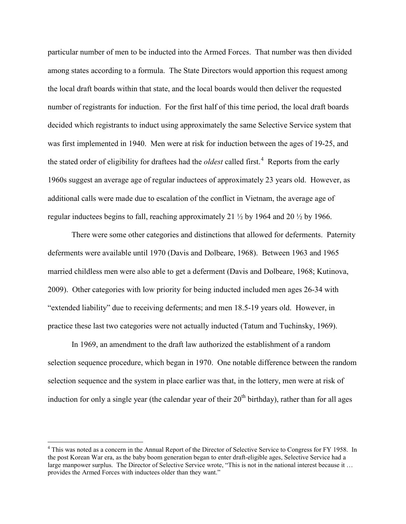particular number of men to be inducted into the Armed Forces. That number was then divided among states according to a formula. The State Directors would apportion this request among the local draft boards within that state, and the local boards would then deliver the requested number of registrants for induction. For the first half of this time period, the local draft boards decided which registrants to induct using approximately the same Selective Service system that was first implemented in 1940. Men were at risk for induction between the ages of 19-25, and the stated order of eligibility for draftees had the *oldest* called first.<sup>[4](#page-3-0)</sup> Reports from the early 1960s suggest an average age of regular inductees of approximately 23 years old. However, as additional calls were made due to escalation of the conflict in Vietnam, the average age of regular inductees begins to fall, reaching approximately 21  $\frac{1}{2}$  by 1964 and 20  $\frac{1}{2}$  by 1966.

There were some other categories and distinctions that allowed for deferments. Paternity deferments were available until 1970 (Davis and Dolbeare, 1968). Between 1963 and 1965 married childless men were also able to get a deferment (Davis and Dolbeare, 1968; Kutinova, 2009). Other categories with low priority for being inducted included men ages 26-34 with "extended liability" due to receiving deferments; and men 18.5-19 years old. However, in practice these last two categories were not actually inducted (Tatum and Tuchinsky, 1969).

In 1969, an amendment to the draft law authorized the establishment of a random selection sequence procedure, which began in 1970. One notable difference between the random selection sequence and the system in place earlier was that, in the lottery, men were at risk of induction for only a single year (the calendar year of their  $20<sup>th</sup>$  birthday), rather than for all ages

<span id="page-3-0"></span><sup>&</sup>lt;sup>4</sup> This was noted as a concern in the Annual Report of the Director of Selective Service to Congress for FY 1958. In the post Korean War era, as the baby boom generation began to enter draft-eligible ages, Selective Service had a large manpower surplus. The Director of Selective Service wrote, "This is not in the national interest because it … provides the Armed Forces with inductees older than they want."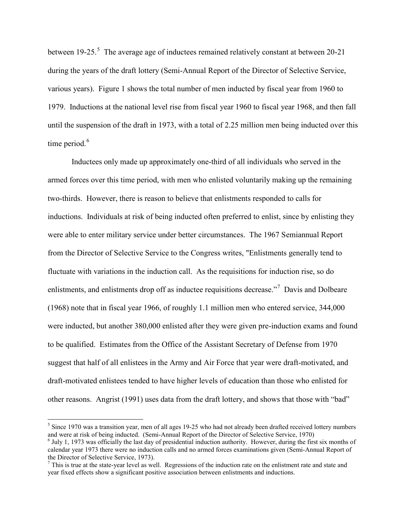between  $19-25$  $19-25$ .<sup>5</sup> The average age of inductees remained relatively constant at between 20-21 during the years of the draft lottery (Semi-Annual Report of the Director of Selective Service, various years). Figure 1 shows the total number of men inducted by fiscal year from 1960 to 1979. Inductions at the national level rise from fiscal year 1960 to fiscal year 1968, and then fall until the suspension of the draft in 1973, with a total of 2.25 million men being inducted over this time period.<sup>[6](#page-4-1)</sup>

Inductees only made up approximately one-third of all individuals who served in the armed forces over this time period, with men who enlisted voluntarily making up the remaining two-thirds. However, there is reason to believe that enlistments responded to calls for inductions. Individuals at risk of being inducted often preferred to enlist, since by enlisting they were able to enter military service under better circumstances. The 1967 Semiannual Report from the Director of Selective Service to the Congress writes, "Enlistments generally tend to fluctuate with variations in the induction call. As the requisitions for induction rise, so do enlistments, and enlistments drop off as inductee requisitions decrease."<sup>[7](#page-4-2)</sup> Davis and Dolbeare (1968) note that in fiscal year 1966, of roughly 1.1 million men who entered service, 344,000 were inducted, but another 380,000 enlisted after they were given pre-induction exams and found to be qualified. Estimates from the Office of the Assistant Secretary of Defense from 1970 suggest that half of all enlistees in the Army and Air Force that year were draft-motivated, and draft-motivated enlistees tended to have higher levels of education than those who enlisted for other reasons. Angrist (1991) uses data from the draft lottery, and shows that those with "bad"

<span id="page-4-0"></span><sup>&</sup>lt;sup>5</sup> Since 1970 was a transition year, men of all ages 19-25 who had not already been drafted received lottery numbers and were at risk of being inducted. (Semi-Annual Report of the Director of Selective Service, 1970)

<span id="page-4-1"></span> $6$  July 1, 1973 was officially the last day of presidential induction authority. However, during the first six months of calendar year 1973 there were no induction calls and no armed forces examinations given (Semi-Annual Report of the Director of Selective Service, 1973).

<span id="page-4-2"></span> $\overline{7}$  This is true at the state-year level as well. Regressions of the induction rate on the enlistment rate and state and year fixed effects show a significant positive association between enlistments and inductions.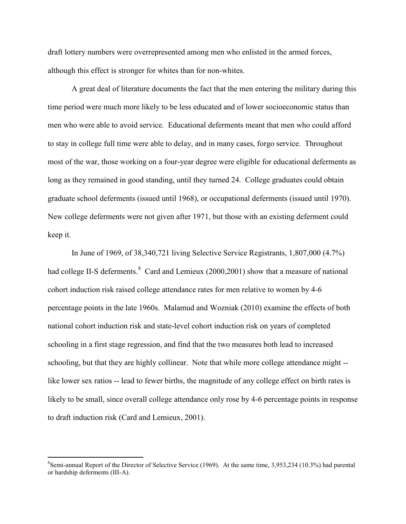draft lottery numbers were overrepresented among men who enlisted in the armed forces, although this effect is stronger for whites than for non-whites.

A great deal of literature documents the fact that the men entering the military during this time period were much more likely to be less educated and of lower socioeconomic status than men who were able to avoid service. Educational deferments meant that men who could afford to stay in college full time were able to delay, and in many cases, forgo service. Throughout most of the war, those working on a four-year degree were eligible for educational deferments as long as they remained in good standing, until they turned 24. College graduates could obtain graduate school deferments (issued until 1968), or occupational deferments (issued until 1970). New college deferments were not given after 1971, but those with an existing deferment could keep it.

In June of 1969, of 38,340,721 living Selective Service Registrants, 1,807,000 (4.7%) had college II-S deferments.<sup>[8](#page-5-0)</sup> Card and Lemieux (2000,2001) show that a measure of national cohort induction risk raised college attendance rates for men relative to women by 4-6 percentage points in the late 1960s. Malamud and Wozniak (2010) examine the effects of both national cohort induction risk and state-level cohort induction risk on years of completed schooling in a first stage regression, and find that the two measures both lead to increased schooling, but that they are highly collinear. Note that while more college attendance might - like lower sex ratios -- lead to fewer births, the magnitude of any college effect on birth rates is likely to be small, since overall college attendance only rose by 4-6 percentage points in response to draft induction risk (Card and Lemieux, 2001).

<span id="page-5-0"></span> <sup>8</sup>  ${}^{8}$ Semi-annual Report of the Director of Selective Service (1969). At the same time, 3,953,234 (10.3%) had parental or hardship deferments (III-A).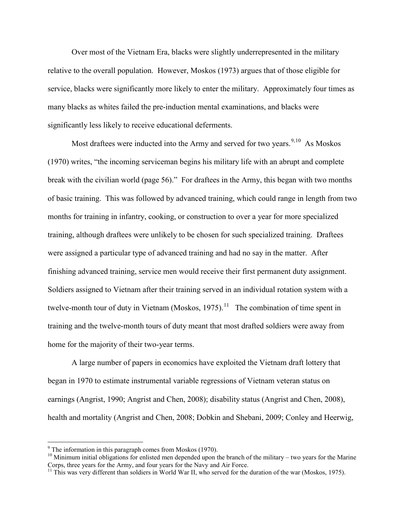Over most of the Vietnam Era, blacks were slightly underrepresented in the military relative to the overall population. However, Moskos (1973) argues that of those eligible for service, blacks were significantly more likely to enter the military. Approximately four times as many blacks as whites failed the pre-induction mental examinations, and blacks were significantly less likely to receive educational deferments.

Most draftees were inducted into the Army and served for two years.<sup>[9](#page-6-0),10</sup> As Moskos (1970) writes, "the incoming serviceman begins his military life with an abrupt and complete break with the civilian world (page 56)." For draftees in the Army, this began with two months of basic training. This was followed by advanced training, which could range in length from two months for training in infantry, cooking, or construction to over a year for more specialized training, although draftees were unlikely to be chosen for such specialized training. Draftees were assigned a particular type of advanced training and had no say in the matter. After finishing advanced training, service men would receive their first permanent duty assignment. Soldiers assigned to Vietnam after their training served in an individual rotation system with a twelve-month tour of duty in Vietnam (Moskos,  $1975$ ).<sup>[11](#page-6-2)</sup> The combination of time spent in training and the twelve-month tours of duty meant that most drafted soldiers were away from home for the majority of their two-year terms.

A large number of papers in economics have exploited the Vietnam draft lottery that began in 1970 to estimate instrumental variable regressions of Vietnam veteran status on earnings (Angrist, 1990; Angrist and Chen, 2008); disability status (Angrist and Chen, 2008), health and mortality (Angrist and Chen, 2008; Dobkin and Shebani, 2009; Conley and Heerwig,

<span id="page-6-0"></span> $9$ <sup>9</sup> The information in this paragraph comes from Moskos (1970).

<span id="page-6-1"></span> $10$  Minimum initial obligations for enlisted men depended upon the branch of the military – two years for the Marine Corps, three years for the Army, and four years for the Navy and Air Force.

<span id="page-6-2"></span><sup>&</sup>lt;sup>11</sup> This was very different than soldiers in World War II, who served for the duration of the war (Moskos, 1975).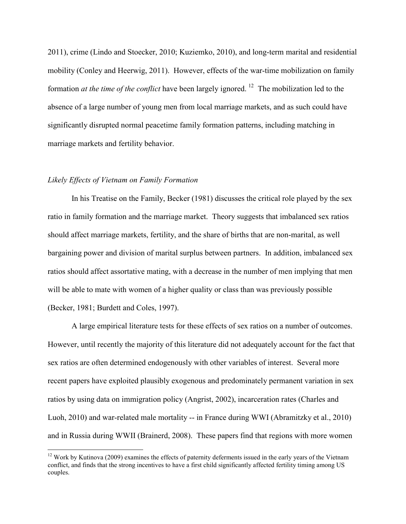2011), crime (Lindo and Stoecker, 2010; Kuziemko, 2010), and long-term marital and residential mobility (Conley and Heerwig, 2011). However, effects of the war-time mobilization on family formation *at the time of the conflict* have been largely ignored. <sup>12</sup> The mobilization led to the absence of a large number of young men from local marriage markets, and as such could have significantly disrupted normal peacetime family formation patterns, including matching in marriage markets and fertility behavior.

#### *Likely Effects of Vietnam on Family Formation*

In his Treatise on the Family, Becker (1981) discusses the critical role played by the sex ratio in family formation and the marriage market. Theory suggests that imbalanced sex ratios should affect marriage markets, fertility, and the share of births that are non-marital, as well bargaining power and division of marital surplus between partners. In addition, imbalanced sex ratios should affect assortative mating, with a decrease in the number of men implying that men will be able to mate with women of a higher quality or class than was previously possible (Becker, 1981; Burdett and Coles, 1997).

A large empirical literature tests for these effects of sex ratios on a number of outcomes. However, until recently the majority of this literature did not adequately account for the fact that sex ratios are often determined endogenously with other variables of interest. Several more recent papers have exploited plausibly exogenous and predominately permanent variation in sex ratios by using data on immigration policy (Angrist, 2002), incarceration rates (Charles and Luoh, 2010) and war-related male mortality -- in France during WWI (Abramitzky et al., 2010) and in Russia during WWII (Brainerd, 2008). These papers find that regions with more women

<span id="page-7-0"></span><sup>&</sup>lt;sup>12</sup> Work by Kutinova (2009) examines the effects of paternity deferments issued in the early years of the Vietnam conflict, and finds that the strong incentives to have a first child significantly affected fertility timing among US couples.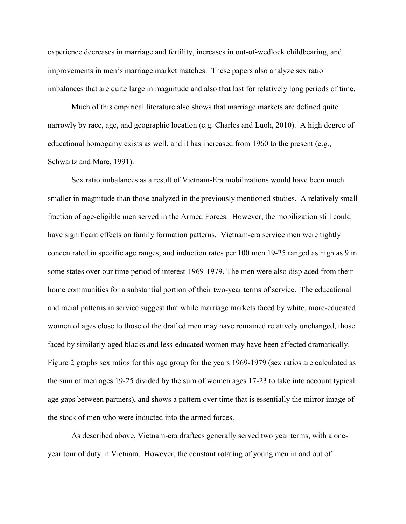experience decreases in marriage and fertility, increases in out-of-wedlock childbearing, and improvements in men's marriage market matches. These papers also analyze sex ratio imbalances that are quite large in magnitude and also that last for relatively long periods of time.

Much of this empirical literature also shows that marriage markets are defined quite narrowly by race, age, and geographic location (e.g. Charles and Luoh, 2010). A high degree of educational homogamy exists as well, and it has increased from 1960 to the present (e.g., Schwartz and Mare, 1991).

Sex ratio imbalances as a result of Vietnam-Era mobilizations would have been much smaller in magnitude than those analyzed in the previously mentioned studies. A relatively small fraction of age-eligible men served in the Armed Forces. However, the mobilization still could have significant effects on family formation patterns. Vietnam-era service men were tightly concentrated in specific age ranges, and induction rates per 100 men 19-25 ranged as high as 9 in some states over our time period of interest-1969-1979. The men were also displaced from their home communities for a substantial portion of their two-year terms of service. The educational and racial patterns in service suggest that while marriage markets faced by white, more-educated women of ages close to those of the drafted men may have remained relatively unchanged, those faced by similarly-aged blacks and less-educated women may have been affected dramatically. Figure 2 graphs sex ratios for this age group for the years 1969-1979 (sex ratios are calculated as the sum of men ages 19-25 divided by the sum of women ages 17-23 to take into account typical age gaps between partners), and shows a pattern over time that is essentially the mirror image of the stock of men who were inducted into the armed forces.

As described above, Vietnam-era draftees generally served two year terms, with a oneyear tour of duty in Vietnam. However, the constant rotating of young men in and out of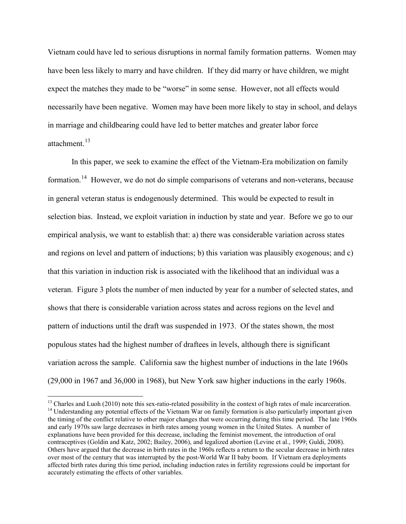Vietnam could have led to serious disruptions in normal family formation patterns. Women may have been less likely to marry and have children. If they did marry or have children, we might expect the matches they made to be "worse" in some sense. However, not all effects would necessarily have been negative. Women may have been more likely to stay in school, and delays in marriage and childbearing could have led to better matches and greater labor force attachment.<sup>[13](#page-9-0)</sup>

In this paper, we seek to examine the effect of the Vietnam-Era mobilization on family formation.<sup>[14](#page-9-1)</sup> However, we do not do simple comparisons of veterans and non-veterans, because in general veteran status is endogenously determined. This would be expected to result in selection bias. Instead, we exploit variation in induction by state and year. Before we go to our empirical analysis, we want to establish that: a) there was considerable variation across states and regions on level and pattern of inductions; b) this variation was plausibly exogenous; and c) that this variation in induction risk is associated with the likelihood that an individual was a veteran. Figure 3 plots the number of men inducted by year for a number of selected states, and shows that there is considerable variation across states and across regions on the level and pattern of inductions until the draft was suspended in 1973. Of the states shown, the most populous states had the highest number of draftees in levels, although there is significant variation across the sample. California saw the highest number of inductions in the late 1960s (29,000 in 1967 and 36,000 in 1968), but New York saw higher inductions in the early 1960s.

<span id="page-9-1"></span><span id="page-9-0"></span><sup>&</sup>lt;sup>13</sup> Charles and Luoh (2010) note this sex-ratio-related possibility in the context of high rates of male incarceration. <sup>14</sup> Understanding any potential effects of the Vietnam War on family formation is also particularly important given the timing of the conflict relative to other major changes that were occurring during this time period. The late 1960s and early 1970s saw large decreases in birth rates among young women in the United States. A number of explanations have been provided for this decrease, including the feminist movement, the introduction of oral contraceptives (Goldin and Katz, 2002; Bailey, 2006), and legalized abortion (Levine et al., 1999; Guldi, 2008). Others have argued that the decrease in birth rates in the 1960s reflects a return to the secular decrease in birth rates over most of the century that was interrupted by the post-World War II baby boom. If Vietnam era deployments affected birth rates during this time period, including induction rates in fertility regressions could be important for accurately estimating the effects of other variables.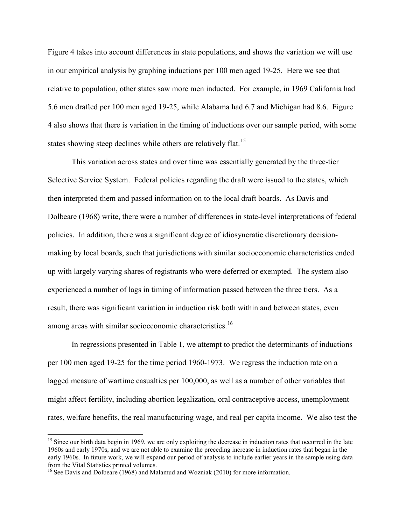Figure 4 takes into account differences in state populations, and shows the variation we will use in our empirical analysis by graphing inductions per 100 men aged 19-25. Here we see that relative to population, other states saw more men inducted. For example, in 1969 California had 5.6 men drafted per 100 men aged 19-25, while Alabama had 6.7 and Michigan had 8.6. Figure 4 also shows that there is variation in the timing of inductions over our sample period, with some states showing steep declines while others are relatively flat.<sup>[15](#page-10-0)</sup>

This variation across states and over time was essentially generated by the three-tier Selective Service System. Federal policies regarding the draft were issued to the states, which then interpreted them and passed information on to the local draft boards. As Davis and Dolbeare (1968) write, there were a number of differences in state-level interpretations of federal policies. In addition, there was a significant degree of idiosyncratic discretionary decisionmaking by local boards, such that jurisdictions with similar socioeconomic characteristics ended up with largely varying shares of registrants who were deferred or exempted. The system also experienced a number of lags in timing of information passed between the three tiers. As a result, there was significant variation in induction risk both within and between states, even among areas with similar socioeconomic characteristics.<sup>[16](#page-10-1)</sup>

In regressions presented in Table 1, we attempt to predict the determinants of inductions per 100 men aged 19-25 for the time period 1960-1973. We regress the induction rate on a lagged measure of wartime casualties per 100,000, as well as a number of other variables that might affect fertility, including abortion legalization, oral contraceptive access, unemployment rates, welfare benefits, the real manufacturing wage, and real per capita income. We also test the

<span id="page-10-0"></span><sup>&</sup>lt;sup>15</sup> Since our birth data begin in 1969, we are only exploiting the decrease in induction rates that occurred in the late 1960s and early 1970s, and we are not able to examine the preceding increase in induction rates that began in the early 1960s. In future work, we will expand our period of analysis to include earlier years in the sample using data from the Vital Statistics printed volumes.<br><sup>16</sup> See Davis and Dolbeare (1968) and Malamud and Wozniak (2010) for more information.

<span id="page-10-1"></span>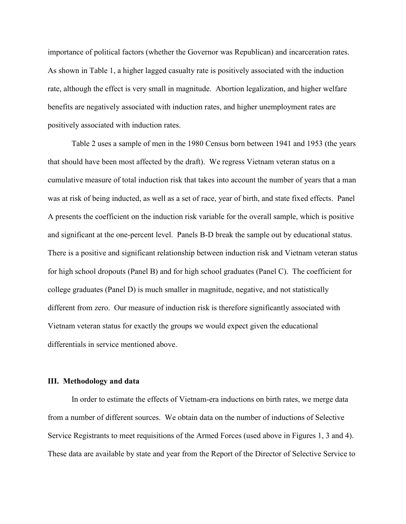importance of political factors (whether the Governor was Republican) and incarceration rates. As shown in Table 1, a higher lagged casualty rate is positively associated with the induction rate, although the effect is very small in magnitude. Abortion legalization, and higher welfare benefits are negatively associated with induction rates, and higher unemployment rates are positively associated with induction rates.

Table 2 uses a sample of men in the 1980 Census born between 1941 and 1953 (the years that should have been most affected by the draft). We regress Vietnam veteran status on a cumulative measure of total induction risk that takes into account the number of years that a man was at risk of being inducted, as well as a set of race, year of birth, and state fixed effects. Panel A presents the coefficient on the induction risk variable for the overall sample, which is positive and significant at the one-percent level. Panels B-D break the sample out by educational status. There is a positive and significant relationship between induction risk and Vietnam veteran status for high school dropouts (Panel B) and for high school graduates (Panel C). The coefficient for college graduates (Panel D) is much smaller in magnitude, negative, and not statistically different from zero. Our measure of induction risk is therefore significantly associated with Vietnam veteran status for exactly the groups we would expect given the educational differentials in service mentioned above.

## **III. Methodology and data**

In order to estimate the effects of Vietnam-era inductions on birth rates, we merge data from a number of different sources. We obtain data on the number of inductions of Selective Service Registrants to meet requisitions of the Armed Forces (used above in Figures 1, 3 and 4). These data are available by state and year from the Report of the Director of Selective Service to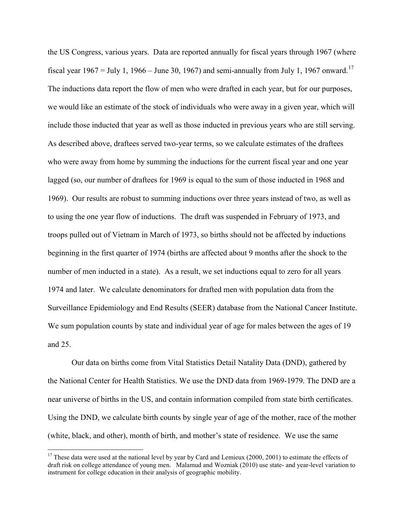the US Congress, various years. Data are reported annually for fiscal years through 1967 (where fiscal year  $1967 =$  July 1,  $1966 -$  June 30, 1967) and semi-annually from July 1, 1967 onward.<sup>[17](#page-12-0)</sup> The inductions data report the flow of men who were drafted in each year, but for our purposes, we would like an estimate of the stock of individuals who were away in a given year, which will include those inducted that year as well as those inducted in previous years who are still serving. As described above, draftees served two-year terms, so we calculate estimates of the draftees who were away from home by summing the inductions for the current fiscal year and one year lagged (so, our number of draftees for 1969 is equal to the sum of those inducted in 1968 and 1969). Our results are robust to summing inductions over three years instead of two, as well as to using the one year flow of inductions. The draft was suspended in February of 1973, and troops pulled out of Vietnam in March of 1973, so births should not be affected by inductions beginning in the first quarter of 1974 (births are affected about 9 months after the shock to the number of men inducted in a state). As a result, we set inductions equal to zero for all years 1974 and later. We calculate denominators for drafted men with population data from the Surveillance Epidemiology and End Results (SEER) database from the National Cancer Institute. We sum population counts by state and individual year of age for males between the ages of 19 and 25.

 Our data on births come from Vital Statistics Detail Natality Data (DND), gathered by the National Center for Health Statistics. We use the DND data from 1969-1979. The DND are a near universe of births in the US, and contain information compiled from state birth certificates. Using the DND, we calculate birth counts by single year of age of the mother, race of the mother (white, black, and other), month of birth, and mother's state of residence. We use the same

<span id="page-12-0"></span><sup>&</sup>lt;sup>17</sup> These data were used at the national level by year by Card and Lemieux (2000, 2001) to estimate the effects of draft risk on college attendance of young men. Malamud and Wozniak (2010) use state- and year-level variation to instrument for college education in their analysis of geographic mobility.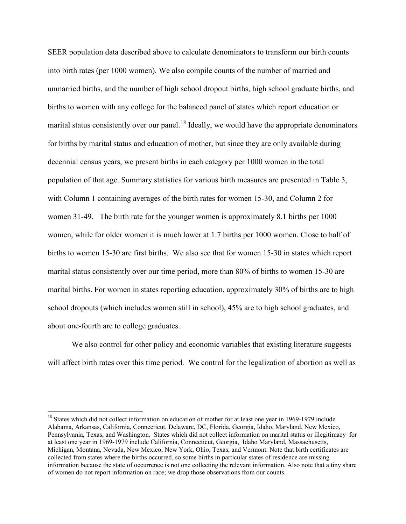SEER population data described above to calculate denominators to transform our birth counts into birth rates (per 1000 women). We also compile counts of the number of married and unmarried births, and the number of high school dropout births, high school graduate births, and births to women with any college for the balanced panel of states which report education or marital status consistently over our panel.<sup>[18](#page-13-0)</sup> Ideally, we would have the appropriate denominators for births by marital status and education of mother, but since they are only available during decennial census years, we present births in each category per 1000 women in the total population of that age. Summary statistics for various birth measures are presented in Table 3, with Column 1 containing averages of the birth rates for women 15-30, and Column 2 for women 31-49. The birth rate for the younger women is approximately 8.1 births per 1000 women, while for older women it is much lower at 1.7 births per 1000 women. Close to half of births to women 15-30 are first births. We also see that for women 15-30 in states which report marital status consistently over our time period, more than 80% of births to women 15-30 are marital births. For women in states reporting education, approximately 30% of births are to high school dropouts (which includes women still in school), 45% are to high school graduates, and about one-fourth are to college graduates.

We also control for other policy and economic variables that existing literature suggests will affect birth rates over this time period. We control for the legalization of abortion as well as

<span id="page-13-0"></span><sup>&</sup>lt;sup>18</sup> States which did not collect information on education of mother for at least one year in 1969-1979 include Alabama, Arkansas, California, Connecticut, Delaware, DC, Florida, Georgia, Idaho, Maryland, New Mexico, Pennsylvania, Texas, and Washington. States which did not collect information on marital status or illegitimacy for at least one year in 1969-1979 include California, Connecticut, Georgia, Idaho Maryland, Massachusetts, Michigan, Montana, Nevada, New Mexico, New York, Ohio, Texas, and Vermont. Note that birth certificates are collected from states where the births occurred, so some births in particular states of residence are missing information because the state of occurrence is not one collecting the relevant information. Also note that a tiny share of women do not report information on race; we drop those observations from our counts.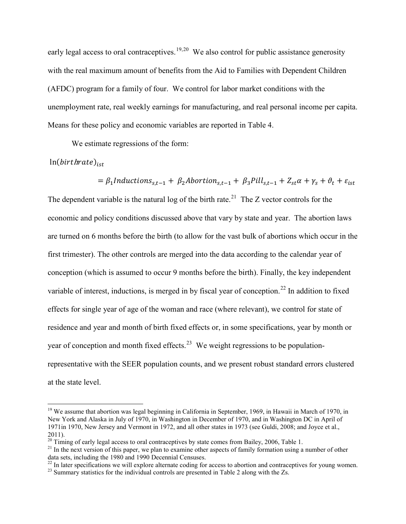early legal access to oral contraceptives.  $19,20$  $19,20$  We also control for public assistance generosity with the real maximum amount of benefits from the Aid to Families with Dependent Children (AFDC) program for a family of four. We control for labor market conditions with the unemployment rate, real weekly earnings for manufacturing, and real personal income per capita. Means for these policy and economic variables are reported in Table 4.

We estimate regressions of the form:

 $ln(birthrate)_{\text{ist}}$ 

 $= \beta_1$ Inductions<sub>s,t-1</sub> +  $\beta_2$ Abortion<sub>s,t-1</sub> +  $\beta_3$ Pill<sub>s,t-1</sub> +  $Z_{st} \alpha + \gamma_s + \vartheta_t + \varepsilon_{ist}$ 

The dependent variable is the natural log of the birth rate.<sup>21</sup> The Z vector controls for the economic and policy conditions discussed above that vary by state and year. The abortion laws are turned on 6 months before the birth (to allow for the vast bulk of abortions which occur in the first trimester). The other controls are merged into the data according to the calendar year of conception (which is assumed to occur 9 months before the birth). Finally, the key independent variable of interest, inductions, is merged in by fiscal year of conception.<sup>[22](#page-14-3)</sup> In addition to fixed effects for single year of age of the woman and race (where relevant), we control for state of residence and year and month of birth fixed effects or, in some specifications, year by month or year of conception and month fixed effects.<sup>[23](#page-14-4)</sup> We weight regressions to be populationrepresentative with the SEER population counts, and we present robust standard errors clustered at the state level.

<span id="page-14-0"></span><sup>&</sup>lt;sup>19</sup> We assume that abortion was legal beginning in California in September, 1969, in Hawaii in March of 1970, in New York and Alaska in July of 1970, in Washington in December of 1970, and in Washington DC in April of 1971in 1970, New Jersey and Vermont in 1972, and all other states in 1973 (see Guldi, 2008; and Joyce et al., 2011).<br><sup>20</sup> Timing of early legal access to oral contraceptives by state comes from Bailey, 2006, Table 1.

<span id="page-14-2"></span><span id="page-14-1"></span><sup>&</sup>lt;sup>21</sup> In the next version of this paper, we plan to examine other aspects of family formation using a number of other data sets, including the 1980 and 1990 Decennial Censuses.<br><sup>22</sup> In later specifications we will explore alternate coding for access to abortion and contraceptives for young women.<br><sup>23</sup> Summary statistics for the individual

<span id="page-14-3"></span>

<span id="page-14-4"></span>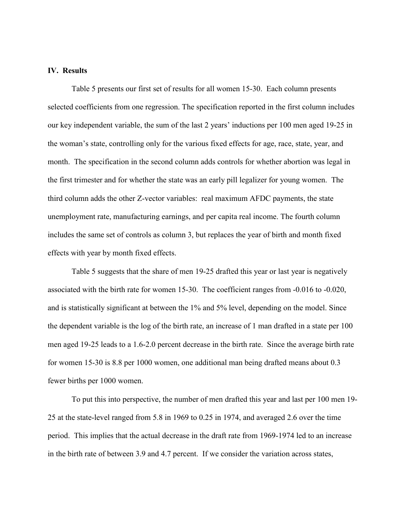# **IV. Results**

Table 5 presents our first set of results for all women 15-30. Each column presents selected coefficients from one regression. The specification reported in the first column includes our key independent variable, the sum of the last 2 years' inductions per 100 men aged 19-25 in the woman's state, controlling only for the various fixed effects for age, race, state, year, and month. The specification in the second column adds controls for whether abortion was legal in the first trimester and for whether the state was an early pill legalizer for young women. The third column adds the other Z-vector variables: real maximum AFDC payments, the state unemployment rate, manufacturing earnings, and per capita real income. The fourth column includes the same set of controls as column 3, but replaces the year of birth and month fixed effects with year by month fixed effects.

Table 5 suggests that the share of men 19-25 drafted this year or last year is negatively associated with the birth rate for women 15-30. The coefficient ranges from -0.016 to -0.020, and is statistically significant at between the 1% and 5% level, depending on the model. Since the dependent variable is the log of the birth rate, an increase of 1 man drafted in a state per 100 men aged 19-25 leads to a 1.6-2.0 percent decrease in the birth rate. Since the average birth rate for women 15-30 is 8.8 per 1000 women, one additional man being drafted means about 0.3 fewer births per 1000 women.

To put this into perspective, the number of men drafted this year and last per 100 men 19- 25 at the state-level ranged from 5.8 in 1969 to 0.25 in 1974, and averaged 2.6 over the time period. This implies that the actual decrease in the draft rate from 1969-1974 led to an increase in the birth rate of between 3.9 and 4.7 percent. If we consider the variation across states,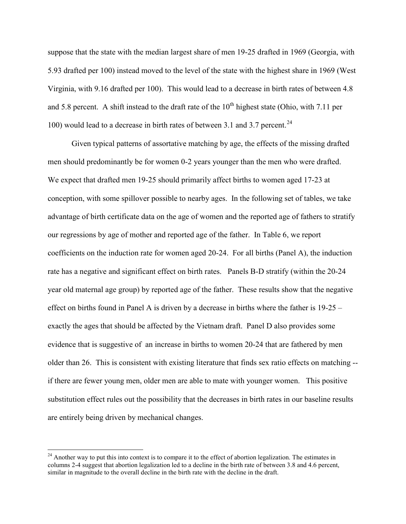suppose that the state with the median largest share of men 19-25 drafted in 1969 (Georgia, with 5.93 drafted per 100) instead moved to the level of the state with the highest share in 1969 (West Virginia, with 9.16 drafted per 100). This would lead to a decrease in birth rates of between 4.8 and 5.8 percent. A shift instead to the draft rate of the  $10<sup>th</sup>$  highest state (Ohio, with 7.11 per 100) would lead to a decrease in birth rates of between 3.1 and 3.7 percent.<sup>[24](#page-16-0)</sup>

Given typical patterns of assortative matching by age, the effects of the missing drafted men should predominantly be for women 0-2 years younger than the men who were drafted. We expect that drafted men 19-25 should primarily affect births to women aged 17-23 at conception, with some spillover possible to nearby ages. In the following set of tables, we take advantage of birth certificate data on the age of women and the reported age of fathers to stratify our regressions by age of mother and reported age of the father. In Table 6, we report coefficients on the induction rate for women aged 20-24. For all births (Panel A), the induction rate has a negative and significant effect on birth rates. Panels B-D stratify (within the 20-24 year old maternal age group) by reported age of the father. These results show that the negative effect on births found in Panel A is driven by a decrease in births where the father is 19-25 – exactly the ages that should be affected by the Vietnam draft. Panel D also provides some evidence that is suggestive of an increase in births to women 20-24 that are fathered by men older than 26. This is consistent with existing literature that finds sex ratio effects on matching - if there are fewer young men, older men are able to mate with younger women. This positive substitution effect rules out the possibility that the decreases in birth rates in our baseline results are entirely being driven by mechanical changes.

<span id="page-16-0"></span> $24$  Another way to put this into context is to compare it to the effect of abortion legalization. The estimates in columns 2-4 suggest that abortion legalization led to a decline in the birth rate of between 3.8 and 4.6 percent, similar in magnitude to the overall decline in the birth rate with the decline in the draft.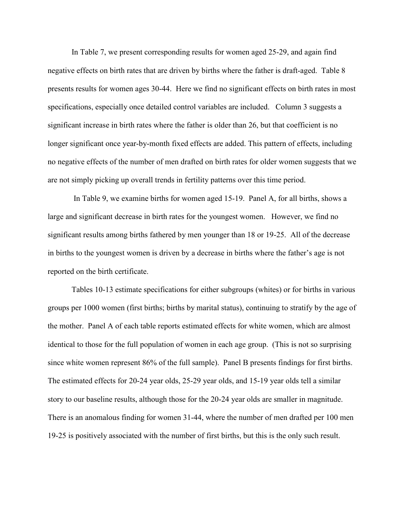In Table 7, we present corresponding results for women aged 25-29, and again find negative effects on birth rates that are driven by births where the father is draft-aged. Table 8 presents results for women ages 30-44. Here we find no significant effects on birth rates in most specifications, especially once detailed control variables are included. Column 3 suggests a significant increase in birth rates where the father is older than 26, but that coefficient is no longer significant once year-by-month fixed effects are added. This pattern of effects, including no negative effects of the number of men drafted on birth rates for older women suggests that we are not simply picking up overall trends in fertility patterns over this time period.

In Table 9, we examine births for women aged 15-19. Panel A, for all births, shows a large and significant decrease in birth rates for the youngest women. However, we find no significant results among births fathered by men younger than 18 or 19-25. All of the decrease in births to the youngest women is driven by a decrease in births where the father's age is not reported on the birth certificate.

Tables 10-13 estimate specifications for either subgroups (whites) or for births in various groups per 1000 women (first births; births by marital status), continuing to stratify by the age of the mother. Panel A of each table reports estimated effects for white women, which are almost identical to those for the full population of women in each age group. (This is not so surprising since white women represent 86% of the full sample). Panel B presents findings for first births. The estimated effects for 20-24 year olds, 25-29 year olds, and 15-19 year olds tell a similar story to our baseline results, although those for the 20-24 year olds are smaller in magnitude. There is an anomalous finding for women 31-44, where the number of men drafted per 100 men 19-25 is positively associated with the number of first births, but this is the only such result.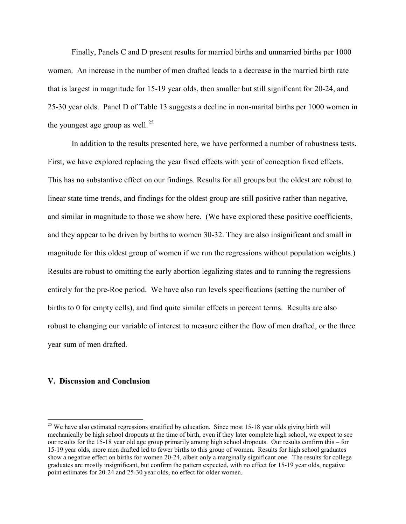Finally, Panels C and D present results for married births and unmarried births per 1000 women. An increase in the number of men drafted leads to a decrease in the married birth rate that is largest in magnitude for 15-19 year olds, then smaller but still significant for 20-24, and 25-30 year olds. Panel D of Table 13 suggests a decline in non-marital births per 1000 women in the youngest age group as well.<sup>[25](#page-18-0)</sup>

In addition to the results presented here, we have performed a number of robustness tests. First, we have explored replacing the year fixed effects with year of conception fixed effects. This has no substantive effect on our findings. Results for all groups but the oldest are robust to linear state time trends, and findings for the oldest group are still positive rather than negative, and similar in magnitude to those we show here. (We have explored these positive coefficients, and they appear to be driven by births to women 30-32. They are also insignificant and small in magnitude for this oldest group of women if we run the regressions without population weights.) Results are robust to omitting the early abortion legalizing states and to running the regressions entirely for the pre-Roe period. We have also run levels specifications (setting the number of births to 0 for empty cells), and find quite similar effects in percent terms. Results are also robust to changing our variable of interest to measure either the flow of men drafted, or the three year sum of men drafted.

## **V. Discussion and Conclusion**

<span id="page-18-0"></span><sup>&</sup>lt;sup>25</sup> We have also estimated regressions stratified by education. Since most 15-18 year olds giving birth will mechanically be high school dropouts at the time of birth, even if they later complete high school, we expect to see our results for the 15-18 year old age group primarily among high school dropouts. Our results confirm this – for 15-19 year olds, more men drafted led to fewer births to this group of women. Results for high school graduates show a negative effect on births for women 20-24, albeit only a marginally significant one. The results for college graduates are mostly insignificant, but confirm the pattern expected, with no effect for 15-19 year olds, negative point estimates for 20-24 and 25-30 year olds, no effect for older women.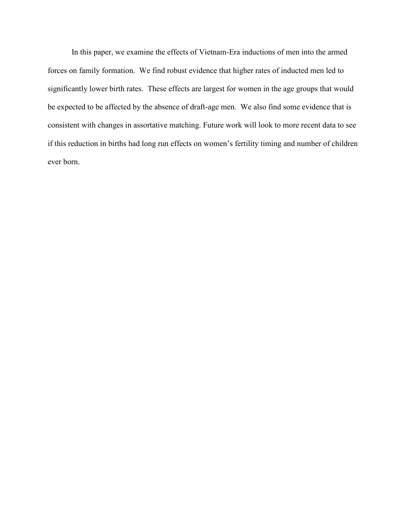In this paper, we examine the effects of Vietnam-Era inductions of men into the armed forces on family formation. We find robust evidence that higher rates of inducted men led to significantly lower birth rates. These effects are largest for women in the age groups that would be expected to be affected by the absence of draft-age men. We also find some evidence that is consistent with changes in assortative matching. Future work will look to more recent data to see if this reduction in births had long run effects on women's fertility timing and number of children ever born.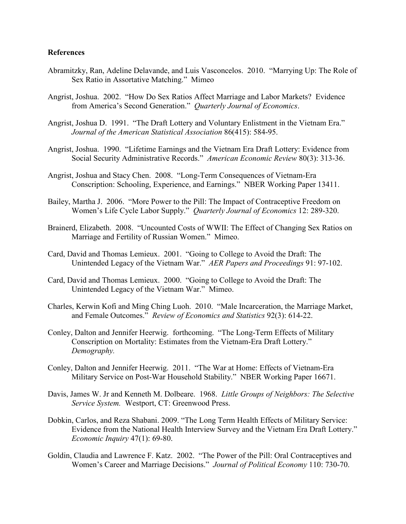## **References**

- Abramitzky, Ran, Adeline Delavande, and Luis Vasconcelos. 2010. "Marrying Up: The Role of Sex Ratio in Assortative Matching." Mimeo
- Angrist, Joshua. 2002. "How Do Sex Ratios Affect Marriage and Labor Markets? Evidence from America's Second Generation." *Quarterly Journal of Economics*.
- Angrist, Joshua D. 1991. "The Draft Lottery and Voluntary Enlistment in the Vietnam Era." *Journal of the American Statistical Association* 86(415): 584-95.
- Angrist, Joshua. 1990. "Lifetime Earnings and the Vietnam Era Draft Lottery: Evidence from Social Security Administrative Records." *American Economic Review* 80(3): 313-36.
- Angrist, Joshua and Stacy Chen. 2008. "Long-Term Consequences of Vietnam-Era Conscription: Schooling, Experience, and Earnings." NBER Working Paper 13411.
- Bailey, Martha J. 2006. "More Power to the Pill: The Impact of Contraceptive Freedom on Women's Life Cycle Labor Supply." *Quarterly Journal of Economics* 12: 289-320.
- Brainerd, Elizabeth. 2008. "Uncounted Costs of WWII: The Effect of Changing Sex Ratios on Marriage and Fertility of Russian Women." Mimeo.
- Card, David and Thomas Lemieux. 2001. "Going to College to Avoid the Draft: The Unintended Legacy of the Vietnam War." *AER Papers and Proceedings* 91: 97-102.
- Card, David and Thomas Lemieux. 2000. "Going to College to Avoid the Draft: The Unintended Legacy of the Vietnam War." Mimeo.
- Charles, Kerwin Kofi and Ming Ching Luoh. 2010. "Male Incarceration, the Marriage Market, and Female Outcomes." *Review of Economics and Statistics* 92(3): 614-22.
- Conley, Dalton and Jennifer Heerwig. forthcoming. "The Long-Term Effects of Military Conscription on Mortality: Estimates from the Vietnam-Era Draft Lottery." *Demography.*
- Conley, Dalton and Jennifer Heerwig. 2011. "The War at Home: Effects of Vietnam-Era Military Service on Post-War Household Stability." NBER Working Paper 16671.
- Davis, James W. Jr and Kenneth M. Dolbeare. 1968. *Little Groups of Neighbors: The Selective Service System.* Westport, CT: Greenwood Press.
- Dobkin, Carlos, and Reza Shabani. 2009. "The Long Term Health Effects of Military Service: Evidence from the National Health Interview Survey and the Vietnam Era Draft Lottery." *Economic Inquiry* 47(1): 69-80.
- Goldin, Claudia and Lawrence F. Katz. 2002. "The Power of the Pill: Oral Contraceptives and Women's Career and Marriage Decisions." *Journal of Political Economy* 110: 730-70.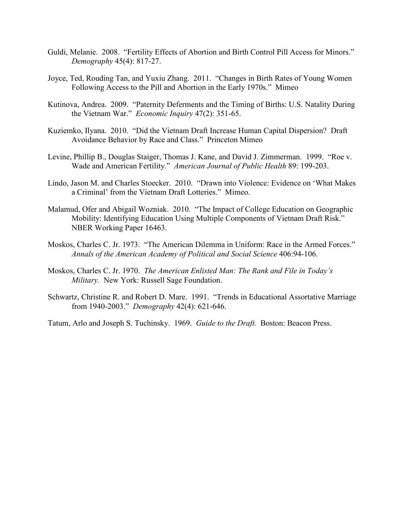- Guldi, Melanie. 2008. "Fertility Effects of Abortion and Birth Control Pill Access for Minors." *Demography* 45(4): 817-27.
- Joyce, Ted, Rouding Tan, and Yuxiu Zhang. 2011. "Changes in Birth Rates of Young Women Following Access to the Pill and Abortion in the Early 1970s." Mimeo
- Kutinova, Andrea. 2009. "Paternity Deferments and the Timing of Births: U.S. Natality During the Vietnam War." *Economic Inquiry* 47(2): 351-65.
- Kuziemko, Ilyana. 2010. "Did the Vietnam Draft Increase Human Capital Dispersion? Draft Avoidance Behavior by Race and Class." Princeton Mimeo
- Levine, Phillip B., Douglas Staiger, Thomas J. Kane, and David J. Zimmerman. 1999. "Roe v. Wade and American Fertility." *American Journal of Public Health* 89: 199-203.
- Lindo, Jason M. and Charles Stoecker. 2010. "Drawn into Violence: Evidence on 'What Makes a Criminal' from the Vietnam Draft Lotteries." Mimeo.
- Malamud, Ofer and Abigail Wozniak. 2010. "The Impact of College Education on Geographic Mobility: Identifying Education Using Multiple Components of Vietnam Draft Risk." NBER Working Paper 16463.
- Moskos, Charles C. Jr. 1973. "The American Dilemma in Uniform: Race in the Armed Forces." *Annals of the American Academy of Political and Social Science* 406:94-106.
- Moskos, Charles C. Jr. 1970. *The American Enlisted Man: The Rank and File in Today's Military.* New York: Russell Sage Foundation.
- Schwartz, Christine R. and Robert D. Mare. 1991. "Trends in Educational Assortative Marriage from 1940-2003." *Demography* 42(4): 621-646.

Tatum, Arlo and Joseph S. Tuchinsky. 1969. *Guide to the Draft.* Boston: Beacon Press.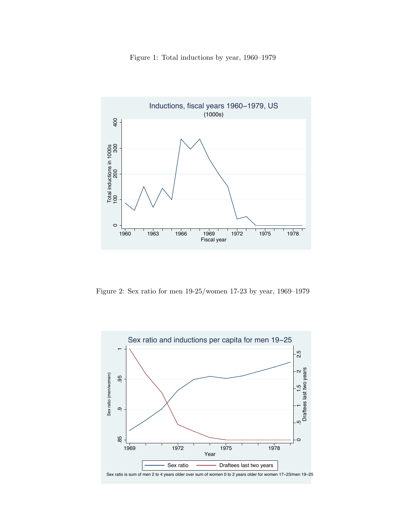

Figure 2: Sex ratio for men 19-25/women 17-23 by year, 1969–1979

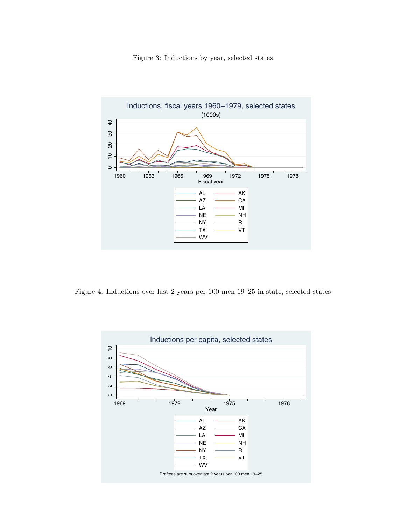

Figure 3: Inductions by year, selected states

Figure 4: Inductions over last 2 years per 100 men 19–25 in state, selected states

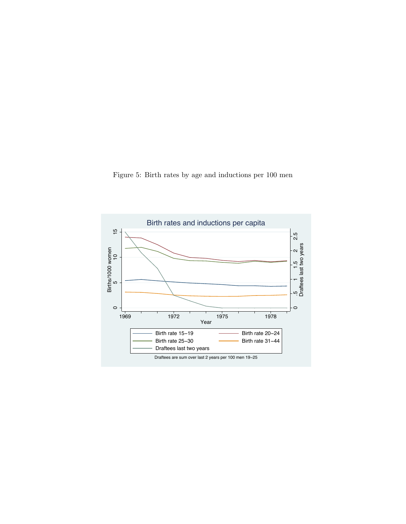Figure 5: Birth rates by age and inductions per 100 men

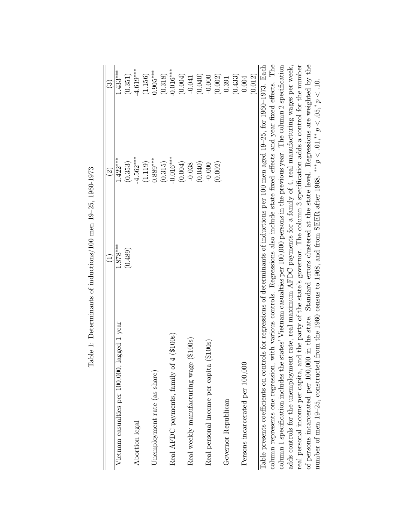|                                                                                                                                     |            | $\widehat{\mathfrak{S}}$                                                                        | $\widehat{\mathbb{C}}$ |
|-------------------------------------------------------------------------------------------------------------------------------------|------------|-------------------------------------------------------------------------------------------------|------------------------|
| lagged 1 year<br>Vietnam casualties per 100,000,                                                                                    | $1.878***$ | $1.422***$                                                                                      | $1.433***$             |
|                                                                                                                                     | (0.489)    | (0.353)                                                                                         | (0.351)                |
| Abortion legal                                                                                                                      |            | $-4.562***$                                                                                     | $-4.619***$            |
|                                                                                                                                     |            | (1.119)                                                                                         | (1.156)                |
| Unemployment rate (as share)                                                                                                        |            | $0.889***$                                                                                      | $0.905***$             |
|                                                                                                                                     |            | (0.315)                                                                                         | (0.318)                |
| 4(100s)<br>Real AFDC payments, family of                                                                                            |            | $-0.016***$                                                                                     | $-0.016***$            |
|                                                                                                                                     |            | (0.004)                                                                                         | (0.004)                |
| $(\$100s)$<br>Real weekly manufacturing wage                                                                                        |            | $-0.038$                                                                                        | $-0.041$               |
|                                                                                                                                     |            | (0.040)                                                                                         | (0.040)                |
| $(\$100s)$<br>Real personal income per capita                                                                                       |            | $-0.000$                                                                                        | $-0.000$               |
|                                                                                                                                     |            | (0.002)                                                                                         | (0.002)                |
| Governor Republican                                                                                                                 |            |                                                                                                 | 0.391                  |
|                                                                                                                                     |            |                                                                                                 | (0.433)                |
| Persons incarcerated per 100,000                                                                                                    |            |                                                                                                 | 0.004                  |
|                                                                                                                                     |            |                                                                                                 | (0.012)                |
| Table presents coefficients on controls for regressions of determinants of inductions per 100 men aged 19-25, for 1960-1973. Each   |            |                                                                                                 |                        |
| column represents one regression,                                                                                                   |            | with various controls. Regressions also include state fixed effects and year fixed effects. The |                        |
| column 1 specification includes the                                                                                                 |            | states' Vietnam casualties per 100,000 persons in the previous year. The column 2 specification |                        |
| adds controls for the unemployment rate, real maximum AFDC payments for a family of 4, real manufacturing wages per week,           |            |                                                                                                 |                        |
| real personal income per capita, and the party of the state's governor. The column 3 specification adds a control for the number    |            |                                                                                                 |                        |
| of persons incarcerated per 100,000 in the state. Standard errors clustered at the state level. Regressions are weighted by the     |            |                                                                                                 |                        |
| number of men 19–25, constructed from the 1960 census to 1968, and from SEER after 1968. *** $p < .01$ ,** $p < .05$ ,* $p < .10$ . |            |                                                                                                 |                        |

Table 1: Determinants of inductions/100 men 19–25, 1960-1973 Table 1: Determinants of inductions/100 men 19–25, 1960-1973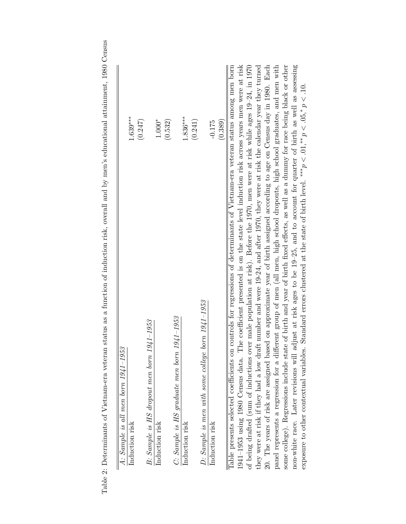| $A$ : Sample is all men born $1941 - 1953$                                                                                              |  |
|-----------------------------------------------------------------------------------------------------------------------------------------|--|
| $1.639***$<br>Induction risk                                                                                                            |  |
| (0.247)                                                                                                                                 |  |
| $B$ : Sample is HS dropout men born $1941 - 1953$                                                                                       |  |
| $1.000*$<br>Induction risk                                                                                                              |  |
| (0.532)                                                                                                                                 |  |
| $C: Sample$ is $HS$ graduate men born $1941$ - $1953$                                                                                   |  |
| $1.836***$<br>Induction risk                                                                                                            |  |
| (0.241)                                                                                                                                 |  |
| $D$ : Sample is men with some college born $1941$ – $1953$                                                                              |  |
| $-0.175$<br>Induction risk                                                                                                              |  |
| (0.389)                                                                                                                                 |  |
| on controls for regressions of determinants of Vietnam-era veteran status among men born<br>Table presents selected coefficients        |  |
| 1941–1953 using 1980 Census data. The coefficient presented is on the state level induction risk across years men were at risk          |  |
| of being drafted (sum of inductions over male population at risk). Before the 1970, men were at risk while ages 19-24, in 1970          |  |
| they were at risk if they had a low draft number and were $19-24$ , and after $1970$ , they were at risk the calendar year they turned  |  |
| based on approximate year of birth assigned according to age on Census day in 1980. Each<br>20. The years of risk are assigned          |  |
| different group of men (all men, high school dropouts, high school graduates, and men with<br>panel represents a regression for a       |  |
| state of birth and year of birth fixed effects, as well as a dunnny for race being black or other<br>some college). Regressions include |  |
| non-white race. Later revisions will adjust at risk ages to be 19-25, and to account for quarter of birth as well as assessing          |  |

exposure to other contextual variables. Standard errors clustered at the state of birth level. ∗∗∗*p<.*01*,*∗∗ *p<.*05*,*

 ${}^{*}p < 10$ .

Table 2: Determinants of Vietnam-era veteran status as a function of induction risk, overall and by men's educational attainment, 1980 Census Table 2: Determinants of Vietnam-era veteran status as a function of induction risk, overall and by men's educational attainment, 1980 Census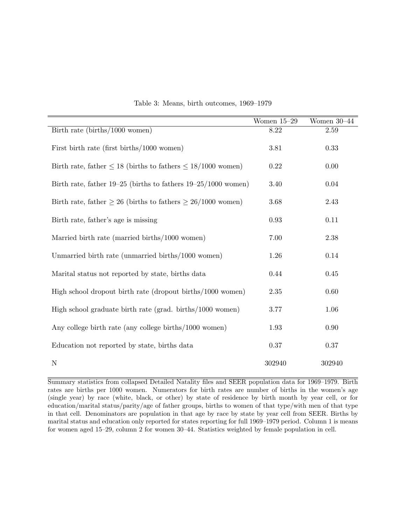|                                                                       | Women $15-29$ | Women $30-44$ |
|-----------------------------------------------------------------------|---------------|---------------|
| Birth rate (births/1000 women)                                        | 8.22          | $2.59\,$      |
| First birth rate (first births/1000 women)                            | 3.81          | 0.33          |
| Birth rate, father $\leq 18$ (births to fathers $\leq 18/1000$ women) | 0.22          | 0.00          |
| Birth rate, father $19-25$ (births to fathers $19-25/1000$ women)     | 3.40          | 0.04          |
| Birth rate, father $\geq 26$ (births to fathers $\geq 26/1000$ women) | 3.68          | 2.43          |
| Birth rate, father's age is missing                                   | 0.93          | 0.11          |
| Married birth rate (married births/1000 women)                        | 7.00          | 2.38          |
| Unmarried birth rate (unmarried births/1000 women)                    | 1.26          | 0.14          |
| Marital status not reported by state, births data                     | 0.44          | 0.45          |
| High school dropout birth rate (dropout births/1000 women)            | 2.35          | 0.60          |
| High school graduate birth rate (grad. births/1000 women)             | 3.77          | 1.06          |
| Any college birth rate (any college births/1000 women)                | 1.93          | 0.90          |
| Education not reported by state, births data                          | 0.37          | 0.37          |
| N                                                                     | 302940        | 302940        |

Table 3: Means, birth outcomes, 1969–1979

Summary statistics from collapsed Detailed Natality files and SEER population data for 1969–1979. Birth rates are births per 1000 women. Numerators for birth rates are number of births in the women's age (single year) by race (white, black, or other) by state of residence by birth month by year cell, or for education/marital status/parity/age of father groups, births to women of that type/with men of that type in that cell. Denominators are population in that age by race by state by year cell from SEER. Births by marital status and education only reported for states reporting for full 1969–1979 period. Column 1 is means for women aged 15–29, column 2 for women 30–44. Statistics weighted by female population in cell.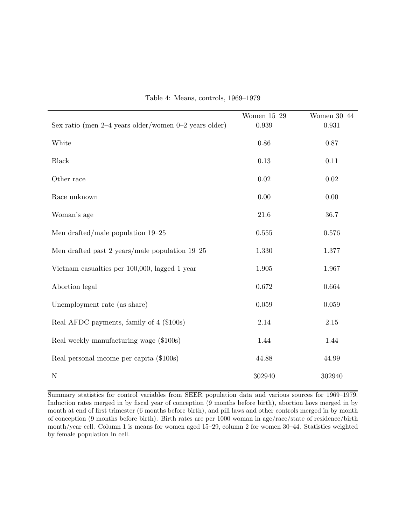|                                                           | Women $15-29$ | Women $30-44$ |
|-----------------------------------------------------------|---------------|---------------|
| Sex ratio (men $2-4$ years older/women $0-2$ years older) | 0.939         | 0.931         |
|                                                           |               |               |
| White                                                     | 0.86          | 0.87          |
|                                                           |               |               |
| <b>Black</b>                                              | 0.13          | 0.11          |
| Other race                                                | $0.02\,$      | $0.02\,$      |
|                                                           |               |               |
| Race unknown                                              | 0.00          | 0.00          |
| Woman's age                                               | 21.6          | 36.7          |
|                                                           |               |               |
| Men drafted/male population $19-25$                       | 0.555         | 0.576         |
|                                                           |               |               |
| Men drafted past 2 years/male population $19-25$          | 1.330         | 1.377         |
| Vietnam casualties per 100,000, lagged 1 year             | 1.905         | 1.967         |
|                                                           |               |               |
| Abortion legal                                            | 0.672         | 0.664         |
|                                                           | 0.059         | 0.059         |
| Unemployment rate (as share)                              |               |               |
| Real AFDC payments, family of 4 (\$100s)                  | 2.14          | $2.15\,$      |
|                                                           |               |               |
| Real weekly manufacturing wage (\$100s)                   | 1.44          | 1.44          |
| Real personal income per capita (\$100s)                  | 44.88         | 44.99         |
|                                                           |               |               |
| $\mathbf N$                                               | 302940        | 302940        |

Table 4: Means, controls, 1969–1979

Summary statistics for control variables from SEER population data and various sources for 1969–1979. Induction rates merged in by fiscal year of conception (9 months before birth), abortion laws merged in by month at end of first trimester (6 months before birth), and pill laws and other controls merged in by month of conception (9 months before birth). Birth rates are per 1000 woman in age/race/state of residence/birth month/year cell. Column 1 is means for women aged 15–29, column 2 for women 30–44. Statistics weighted by female population in cell.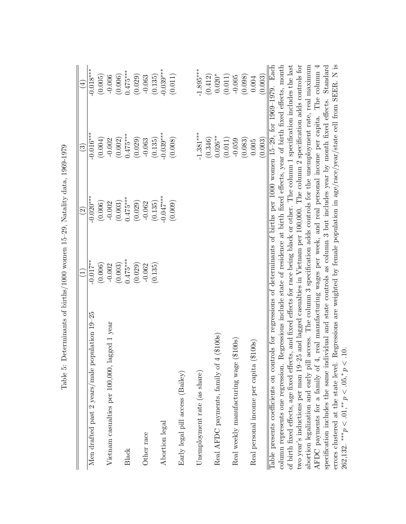|                                                                                                                                          | $\widehat{\Xi}$ | $\widehat{c}$ | $\widehat{\mathbb{C}}$                                                                            | $(\pm)$     |
|------------------------------------------------------------------------------------------------------------------------------------------|-----------------|---------------|---------------------------------------------------------------------------------------------------|-------------|
| Men drafted past 2 years/male population 19-25                                                                                           | $-0.017**$      | $-0.020***$   | $-0.016***$                                                                                       | $-0.018***$ |
|                                                                                                                                          | (0.006)         | (0.006)       | (0.004)                                                                                           | (0.005)     |
| Vietnam casualties per 100,000, lagged 1 year                                                                                            | $-0.002$        | $-0.002$      | $-0.002$                                                                                          | $-0.006$    |
|                                                                                                                                          | (0.003)         | (0.003)       | (0.002)                                                                                           | (0.006)     |
| Black                                                                                                                                    | $0.475***$      | $0.475***$    | $0.475***$                                                                                        | $0.475***$  |
|                                                                                                                                          | (0.029)         | (0.029)       | (0.029)                                                                                           | (0.029)     |
| Other race                                                                                                                               | $-0.062$        | $-0.062$      | $-0.063$                                                                                          | $-0.063$    |
|                                                                                                                                          | (0.135)         | (0.135)       | (0.135)                                                                                           | (0.135)     |
| Abortion legal                                                                                                                           |                 | $-0.047***$   | $-0.039***$                                                                                       | $-0.039***$ |
|                                                                                                                                          |                 | (0.009)       | (0.008)                                                                                           | (0.011)     |
| Early legal pill access (Bailey)                                                                                                         |                 |               |                                                                                                   |             |
| Unemployment rate (as share)                                                                                                             |                 |               | $-1.381***$                                                                                       | $-1.895***$ |
|                                                                                                                                          |                 |               | (0.346)                                                                                           | (0.412)     |
| $4~(\$100\rm s)$<br>Real AFDC payments, family of                                                                                        |                 |               | $0.026***$                                                                                        | $0.020*$    |
|                                                                                                                                          |                 |               | (0.011)                                                                                           | (0.011)     |
| (\$100s)<br>Real weekly manufacturing wage                                                                                               |                 |               | $-0.059$                                                                                          | $-0.005$    |
|                                                                                                                                          |                 |               | (0.083)                                                                                           | (0.098)     |
| $(\$100s)$<br>Real personal income per capita                                                                                            |                 |               | $0.005\,$                                                                                         | 0.004       |
|                                                                                                                                          |                 |               | (0.003)                                                                                           | (0.003)     |
| Table presents coefficients on controls for regressions of determinants of births per 1000 women 15-29, for 1969-1979. Each              |                 |               |                                                                                                   |             |
| column represents one regression.                                                                                                        |                 |               | Regressions include state of residence at birth fixed effects, year of birth fixed effects, month |             |
| of birth fixed effects, age fixed effects, and fixed effects for race being black or other. The column 1 specification includes the last |                 |               |                                                                                                   |             |
| two year's inductions per man 19-25 and lagged casualties in Vietnam per 100,000. The column 2 specification adds controls for           |                 |               |                                                                                                   |             |
| abortion legalization and early pill access. The column 3 specification adds controls for the unemployment rate, real maximum            |                 |               |                                                                                                   |             |
| AFDC payments for a family of 4, real manufacturing wages per week, and real personal income per capita. The column 4                    |                 |               |                                                                                                   |             |
| specification includes the same individual and state controls as column 3 but includes year by month fixed effects. Standard             |                 |               |                                                                                                   |             |
| errors clustered at the state level.                                                                                                     |                 |               | Regressions are weighted by female population in age/race/year/state cell from SEER. N is         |             |

262,132. ∗∗∗*p<.*01*,*∗∗ *p<.*05*,*

 ${}^{*}p < 10.$ 

Table 5: Determinants of births/1000 women 15-29, Natality data, 1969-1979 Table 5: Determinants of births/1000 women 15–29, Natality data, 1969-1979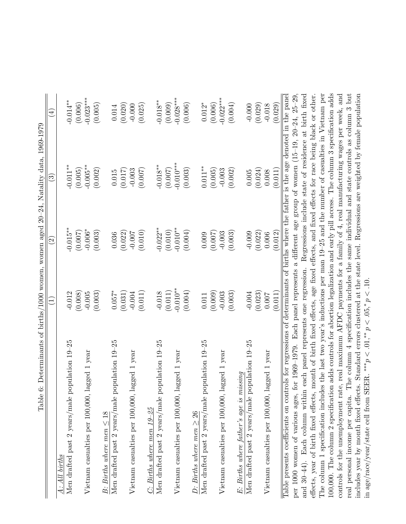| Table 6:                                                                                                                                | $\widehat{\Xi}$       | $\widehat{c}$ | Determinants of births/1000 women, women aged 20-24, Natality data, 1969-1979<br>ව | $\widehat{(\pm)}$   |
|-----------------------------------------------------------------------------------------------------------------------------------------|-----------------------|---------------|------------------------------------------------------------------------------------|---------------------|
| A: All births                                                                                                                           |                       |               |                                                                                    |                     |
| Men drafted past $2$ years/male population $19-25$                                                                                      | $-0.012$              | $-0.015**$    | $-0.011**$                                                                         | $-0.014**$          |
|                                                                                                                                         | (0.008)               | (0.007)       | (0.005)                                                                            | (0.006)             |
| year<br>agged 1<br>Vietnam casualties per 100,000, la                                                                                   | $-0.005$              | $-0.006*$     | $-0.005**$                                                                         | $-0.023***$         |
|                                                                                                                                         | (0.003)               | (0.003)       | (0.002)                                                                            | (0.005)             |
| $B: Births$ where men $\leq 18$                                                                                                         |                       |               |                                                                                    |                     |
| Men drafted past 2 years/male population 19–25                                                                                          | $0.057*$              | 0.036         | 0.015                                                                              | 0.014               |
|                                                                                                                                         | (0.031)               | (0.022)       | (0.017)                                                                            | (0.020)             |
| gged 1 year<br>Vietnam casualties per $100,000$ , la                                                                                    | $-0.004$              | $-0.007$      | $-0.003$                                                                           | $-0.000$            |
|                                                                                                                                         | (0.011)               | (0.010)       | (0.007)                                                                            | (0.025)             |
| $C: Births$ where men $19-25$                                                                                                           |                       |               |                                                                                    |                     |
| Men drafted past 2 years/male population 19-25                                                                                          | $-0.018$              | $-0.022**$    | $-0.018**$                                                                         | $-0.018**$          |
|                                                                                                                                         | (0.011)               | (0.010)       | (0.007)                                                                            | (0.009)             |
| gged 1 year<br>Vietnam casualties per 100,000, la                                                                                       | $-0.010**$            | $-0.010**$    | $-0.010***$                                                                        | $-0.028***$         |
|                                                                                                                                         | (0.004)               | (0.004)       | (0.003)                                                                            | (0.006)             |
| $D: Births$ where men $> 26$                                                                                                            |                       |               |                                                                                    |                     |
| Men drafted past 2 years/male population 19-25                                                                                          | 0.011                 | 0.009         | $0.011***$                                                                         | $0.012*$            |
|                                                                                                                                         | (0.009)               | (0.007)       | (0.005)                                                                            | (0.006)             |
| gged 1 year<br>Vietnam casualties per 100,000, la                                                                                       | $-0.003$              | $-0.003$      | $-0.003$                                                                           | $-0.022$ ***        |
|                                                                                                                                         | (0.003)               | (0.003)       | (0.002)                                                                            | (0.004)             |
| $E$ : Births where father's age is missing                                                                                              |                       |               |                                                                                    |                     |
| Men drafted past 2 years/male population 19-25                                                                                          | $-0.004$              | $-0.009$      | 0.005                                                                              | $-0.000$            |
|                                                                                                                                         | (0.023)               | (0.022)       | (0.024)                                                                            | (0.029)             |
| gged 1 year<br>Vietnam casualties per $100,000$ , la                                                                                    | 0.007                 | 0.006         | 0.008                                                                              | $-0.018$            |
|                                                                                                                                         | (0.011)               | (0.012)       | (0.011)                                                                            | (0.029)             |
| Table presents coefficients on controls for regressions of determinants of births where the father is the age denoted in the panel      |                       |               |                                                                                    |                     |
| per 1000 women of various ages, for 1969-1979.                                                                                          | Each panel represents |               | a different age group of women (15-19,                                             | $20 - 24, 25 - 29,$ |
| each panel represents one regression.<br>and 30-44). Each column within                                                                 |                       |               | Regressions include state of residence at birth fixed                              |                     |
| effects, year of birth fixed effects, month of birth fixed effects, age fixed effects, and fixed effects for race being black or other. |                       |               |                                                                                    |                     |
| The column 1 specification includes the last two year's inductions per man 19-25 and the number of casualties in Vietnam per            |                       |               |                                                                                    |                     |
| 100,000. The column 2 specification adds controls for abortion legalization and early pill access. The column 3 specification adds      |                       |               |                                                                                    |                     |
| controls for the unemployment rate, real maximum AFDC payments for a family of $4$ , real manufacturing wages per week, and             |                       |               |                                                                                    |                     |
| real personal income per capita. The column 4 specification includes the same individual and state controls as column 3 but             |                       |               |                                                                                    |                     |
| includes year by month fixed effects. Standard errors clustered at the state level. Regressions are weighted by female population       |                       |               |                                                                                    |                     |
| in age/race/year/state cell from SEER. *** $p < .01$ ,** $p < .05$ ,* $p < .10$ .                                                       |                       |               |                                                                                    |                     |
|                                                                                                                                         |                       |               |                                                                                    |                     |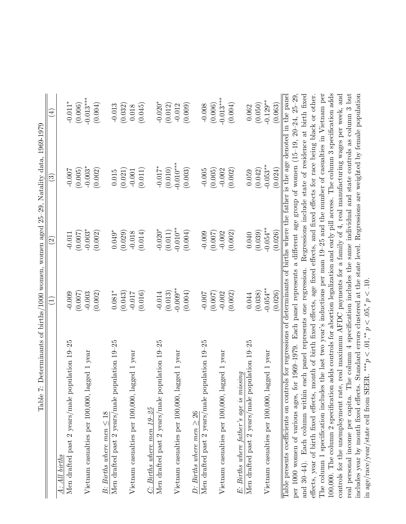| Table 7:                                                                                                                                | $\widehat{\Xi}$       | $\widehat{\mathfrak{O}}$ | Determinants of births/1000 women, women aged 25-29, Natality data, 1969-1979<br>ව | $(\pm)$             |
|-----------------------------------------------------------------------------------------------------------------------------------------|-----------------------|--------------------------|------------------------------------------------------------------------------------|---------------------|
| A: All births                                                                                                                           |                       |                          |                                                                                    |                     |
| Men drafted past 2 years/male population 19-25                                                                                          | $-0.009$              | $-0.011$                 | $-0.007$                                                                           | $-0.011*$           |
|                                                                                                                                         | (0.007)               | (0.007)                  | (0.005)                                                                            | (0.006)             |
| year<br>Vietnam casualties per 100,000, lagged 1                                                                                        | $-0.003$              | $-0.003*$                | $-0.003*$                                                                          | $-0.013***$         |
|                                                                                                                                         | (0.002)               | (0.002)                  | (0.002)                                                                            | (0.004)             |
| $B: Births$ where men $\leq 18$                                                                                                         |                       |                          |                                                                                    |                     |
| Men drafted past 2 years/male population $19-25$                                                                                        | $0.081*$              | $0.049*$                 | $0.015\,$                                                                          | $-0.013$            |
|                                                                                                                                         | (0.043)               | (0.029)                  | (0.021)                                                                            | (0.032)             |
| Vietnam casualties per 100,000, lagged 1 year                                                                                           | $-0.017$              | $-0.018$                 | $-0.001$                                                                           | 0.018               |
|                                                                                                                                         | (0.016)               | (0.014)                  | (0.011)                                                                            | (0.045)             |
| $C: Births$ where men $19-25$                                                                                                           |                       |                          |                                                                                    |                     |
| Men drafted past 2 years/male population 19-25                                                                                          | $-0.014$              | $-0.020*$                | $-0.017*$                                                                          | $-0.020*$           |
|                                                                                                                                         | (0.013)               | (0.011)                  | (0.010)                                                                            | (0.012)             |
| Vietnam casualties per 100,000, lagged 1 year                                                                                           | $-0.009***$           | $-0.010**$               | $-0.010***$                                                                        | $-0.012$            |
|                                                                                                                                         | (0.004)               | (0.004)                  | (0.003)                                                                            | (0.009)             |
| $D: Births$ where men $> 26$                                                                                                            |                       |                          |                                                                                    |                     |
| Men drafted past 2 years/male population 19-25                                                                                          | $-0.007$              | $-0.009$                 | $-0.005$                                                                           | $-0.008$            |
|                                                                                                                                         | (0.007)               | (0.007)                  | (0.005)                                                                            | (0.006)             |
| Vietnam casualties per 100,000, lagged 1 year                                                                                           | $-0.002$              | $-0.002$                 | $-0.002$                                                                           | $-0.013***$         |
|                                                                                                                                         | (0.002)               | (0.002)                  | (0.002)                                                                            | (0.004)             |
| $E$ : Births where father's age is missing                                                                                              |                       |                          |                                                                                    |                     |
| Men drafted past 2 years/male population 19-25                                                                                          | 0.044                 | 0.040                    | 0.059                                                                              | 0.062               |
|                                                                                                                                         | (0.038)               | (0.039)                  | (0.042)                                                                            | (0.050)             |
| Vietnam casualties per 100,000, lagged 1 year                                                                                           | $-0.054***$           | $-0.054***$              | $-0.053***$                                                                        | $-0.129***$         |
|                                                                                                                                         | (0.026)               | (0.026)                  | (0.024)                                                                            | (0.063)             |
| Table presents coefficients on controls for regressions of determinants of births where the father is the age denoted in the panel      |                       |                          |                                                                                    |                     |
| per 1000 women of various ages, for 1969–1979.                                                                                          | Each panel represents |                          | a different age group of women (15-19,                                             | $20 - 24, 25 - 29,$ |
| each panel represents one regression.<br>and 30-44). Each column within                                                                 |                       |                          | Regressions include state of residence at birth fixed                              |                     |
| effects, year of birth fixed effects, month of birth fixed effects, age fixed effects, and fixed effects for race being black or other. |                       |                          |                                                                                    |                     |
| The column 1 specification includes the last two year's inductions per man 19-25 and the number of casualties in Vietnam per            |                       |                          |                                                                                    |                     |
| 100,000. The column 2 specification adds controls for abortion legalization and early pill access. The column 3 specification adds      |                       |                          |                                                                                    |                     |
| controls for the unemployment rate, real maximum AFDC payments for a family of $4$ , real manufacturing wages per week, and             |                       |                          |                                                                                    |                     |
| The column 4 specification includes the same individual and state controls as column 3 but<br>real personal income per capita.          |                       |                          |                                                                                    |                     |
| includes year by month fixed effects. Standard errors clustered at the state level. Regressions are weighted by female population       |                       |                          |                                                                                    |                     |
| in age/race/year/state cell from SEER. *** $p < .01$ ,** $p < .05$ ,* $p < .10$ .                                                       |                       |                          |                                                                                    |                     |
|                                                                                                                                         |                       |                          |                                                                                    |                     |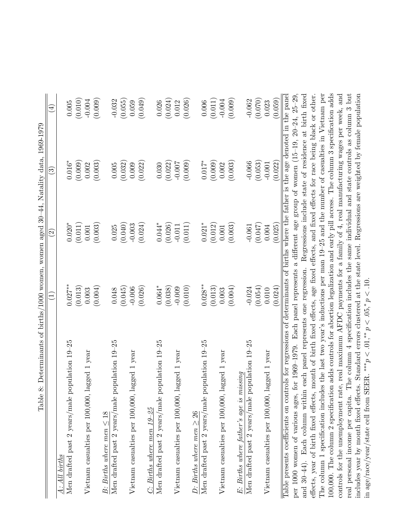| Table 8:                                                                                                                                |                                         |                      | Determinants of births/1000 women, women aged 30-44, Natality data, 1969-1979      |                     |
|-----------------------------------------------------------------------------------------------------------------------------------------|-----------------------------------------|----------------------|------------------------------------------------------------------------------------|---------------------|
|                                                                                                                                         |                                         | $\widetilde{\Omega}$ | $\widetilde{\mathbb{C}}$                                                           | $\bigoplus$         |
| A: All births                                                                                                                           |                                         |                      |                                                                                    |                     |
| $-25$<br>Men drafted past 2 years/male population 19                                                                                    | $0.027***$                              | $0.020*$             | $0.016^{\ast}$                                                                     | 0.005               |
|                                                                                                                                         | (0.013)                                 | (0.011)              | (0.009)                                                                            | (0.010)             |
| year<br>$\overline{\phantom{0}}$<br>agged.<br>Vietnam casualties per 100,000, la                                                        | 0.003                                   | $0.001\,$            | 0.002                                                                              | $-0.004$            |
|                                                                                                                                         | (0.004)                                 | (0.003)              | (0.003)                                                                            | (0.009)             |
| $B: Births$ where men $\leq 18$                                                                                                         |                                         |                      |                                                                                    |                     |
| Men drafted past 2 years/male population 19-25                                                                                          | 0.048                                   | 0.025                | 0.005                                                                              | $-0.032$            |
|                                                                                                                                         | (0.045)                                 | (0.040)              | (0.032)                                                                            | (0.055)             |
| year<br>Vietnam casualties per 100,000, lagged                                                                                          | $-0.006$                                | $-0.003$             | 0.009                                                                              | 0.059               |
|                                                                                                                                         | (0.026)                                 | (0.024)              | (0.022)                                                                            | (0.049)             |
| $C: Births$ where men $19-25$                                                                                                           |                                         |                      |                                                                                    |                     |
| $-25$<br>Men drafted past 2 years/male population 19                                                                                    | $0.064*$                                | $0.044*$             | $0.030\,$                                                                          | 0.026               |
|                                                                                                                                         | (0.038)                                 | (0.026)              | (0.022)                                                                            | (0.024)             |
| year<br>Vietnam casualties per 100,000, lagged                                                                                          | $-0.009$                                | $-0.011$             | $-0.007$                                                                           | 0.012               |
|                                                                                                                                         | (0.010)                                 | (0.011)              | (0.009)                                                                            | (0.026)             |
| $D: Births$ where men $\geq 26$                                                                                                         |                                         |                      |                                                                                    |                     |
| $-25$<br>Men drafted past 2 years/male population 19                                                                                    | $0.028**$                               | $0.021*$             | $0.017^{\ast}$                                                                     | 0.006               |
|                                                                                                                                         | (0.013)                                 | (0.012)              | (0.009)                                                                            | (0.011)             |
| year<br>Vietnam casualties per 100,000, lagged                                                                                          | 0.003                                   | $0.001\,$            | 0.002                                                                              | $-0.004$            |
|                                                                                                                                         | (0.004)                                 | (0.003)              | (0.003)                                                                            | (0.009)             |
| E: Births where father's age is missing                                                                                                 |                                         |                      |                                                                                    |                     |
| $-25$<br>Men drafted past 2 years/male population 19                                                                                    | $-0.024$                                | $-0.061$             | $-0.066$                                                                           | $-0.062$            |
|                                                                                                                                         | (0.054)                                 | (0.047)              | (0.053)                                                                            | (0.070)             |
| year<br>Vietnam casualties per 100,000, lagged 1                                                                                        | 0.010                                   | 0.004                | $-0.001$                                                                           | 0.023               |
|                                                                                                                                         | (0.024)                                 | (0.025)              | (0.022)                                                                            | (0.059)             |
| Table presents coefficients on controls for regressions of determinants of births where the father is the age denoted in the panel      |                                         |                      |                                                                                    |                     |
| per 1000 women of various ages, for 1969-1979.                                                                                          | $\mathfrak{a}$<br>Each panel represents |                      | different age group of women $(15-19,$                                             | $20 - 24, 25 - 29,$ |
| each panel represents one regression.<br>and 30-44). Each column within                                                                 |                                         | Regressions include  | state of residence                                                                 | at birth fixed      |
| effects, year of birth fixed effects, month of birth fixed effects, age fixed effects, and fixed effects for race being black or other. |                                         |                      |                                                                                    |                     |
| The column 1 specification includes the last two year's inductions per man 19–25 and the number of casualties in Vietnam per            |                                         |                      |                                                                                    |                     |
| 100,000. The column 2 specification adds controls for abortion legalization and early pill access. The column 3 specification adds      |                                         |                      |                                                                                    |                     |
| controls for the unemployment rate, real maximum AFDC payments for a family of 4, real manufacturing wages per week, and                |                                         |                      |                                                                                    |                     |
| The column<br>real personal income per capita. I                                                                                        |                                         |                      | 4 specification includes the same individual and state controls as column 3        | but                 |
| includes year by month fixed effects. Standard                                                                                          |                                         |                      | errors clustered at the state level. Regressions are weighted by female population |                     |
| in age/race/year/state cell from SEER. *** $p < .01$ , ** $p < .05$ , * $p < .10$ .                                                     |                                         |                      |                                                                                    |                     |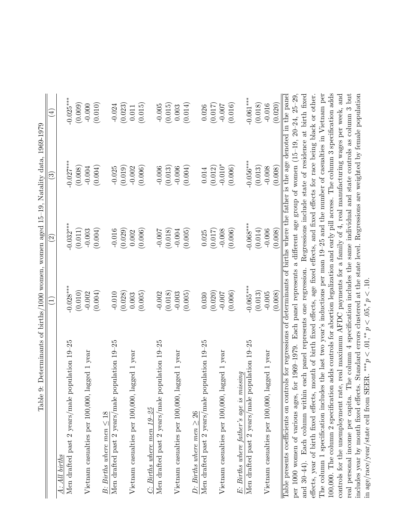| Table 9:                                                                                                                                |                       |                          | Determinants of births/1000 women, women aged 15-19, Natality data, 1969-1979 |                              |
|-----------------------------------------------------------------------------------------------------------------------------------------|-----------------------|--------------------------|-------------------------------------------------------------------------------|------------------------------|
|                                                                                                                                         | $\widehat{\Xi}$       | $\widehat{\mathfrak{S}}$ | ව                                                                             | $\left( \frac{4}{3} \right)$ |
| A: All births                                                                                                                           |                       |                          |                                                                               |                              |
| Men drafted past 2 years/male population 19-25                                                                                          | $0.028***$            | $0.032***$               | $-0.027***$                                                                   | $-0.025***$                  |
|                                                                                                                                         | (0.010)               | (0.011)                  | (0.008)                                                                       | (0.009)                      |
| year<br>gged 1<br>Vietnam casualties per 100,000, la                                                                                    | $-0.002$              | $-0.003$                 | $-0.004$                                                                      | $-0.000$                     |
|                                                                                                                                         | (0.004)               | (0.004)                  | (0.004)                                                                       | (0.010)                      |
| $B: Births$ where men $\leq 18$                                                                                                         |                       |                          |                                                                               |                              |
| Men drafted past 2 years/male population $19-25$                                                                                        | $-0.010$              | $-0.016$                 | $-0.025$                                                                      | $-0.024$                     |
|                                                                                                                                         | (0.028)               | (0.029)                  | (0.019)                                                                       | (0.023)                      |
| year<br>gged 1<br>Vietnam casualties per 100,000, la                                                                                    | 0.003                 | 0.002                    | $-0.002$                                                                      | $0.011\,$                    |
|                                                                                                                                         | (0.005)               | (0.006)                  | (0.006)                                                                       | (0.015)                      |
| $C: Births$ where men $19-25$                                                                                                           |                       |                          |                                                                               |                              |
| Men drafted past 2 years/male population $19-25$                                                                                        | $-0.002$              | $-0.007$                 | $-0.006$                                                                      | $-0.005$                     |
|                                                                                                                                         | (0.018)               | (0.018)                  | (0.013)                                                                       | (0.015)                      |
| year<br>gged 1<br>Vietnam casualties per 100,000, la                                                                                    | $-0.003$              | $-0.004$                 | $-0.006$                                                                      | 0.003                        |
|                                                                                                                                         | (0.005)               | (0.005)                  | (0.004)                                                                       | (0.014)                      |
| $D: Births$ where men $\geq 26$                                                                                                         |                       |                          |                                                                               |                              |
| Men drafted past 2 years/male population 19-25                                                                                          | 0.030                 | 0.025                    | 0.014                                                                         | 0.026                        |
|                                                                                                                                         | (0.020)               | (0.017)                  | (0.012)                                                                       | (0.017)                      |
| year<br>gged 1<br>Vietnam casualties per 100,000, la                                                                                    | $-0.007$              | $-0.008$                 | $-0.010*$                                                                     | $-0.007$                     |
|                                                                                                                                         | (0.006)               | (0.006)                  | (0.006)                                                                       | (0.016)                      |
| $E$ : Births where father's age is missing                                                                                              |                       |                          |                                                                               |                              |
| Men drafted past $2$ years/male population $19-25$                                                                                      | $-0.065***$           | $-0.068***$              | $-0.056***$                                                                   | $-0.061***$                  |
|                                                                                                                                         | (0.013)               | (0.014)                  | (0.013)                                                                       | (0.018)                      |
| gged 1 year<br>Vietnam casualties per 100,000, la                                                                                       | $-0.005$              | $-0.006$                 | $-0.008$                                                                      | $-0.016$                     |
|                                                                                                                                         | (0.008)               | (0.008)                  | (0.008)                                                                       | (0.020)                      |
| Table presents coefficients on controls for regressions of determinants of births where the father is the age denoted in the panel      |                       |                          |                                                                               |                              |
| per 1000 women of various ages, for 1969-1979.                                                                                          | Each panel represents |                          | a different age group of women $(15-19,$                                      | $20 - 24, 25 - 29,$          |
| each panel represents one regression.<br>and 30-44). Each column within                                                                 |                       |                          | Regressions include state of residence at birth fixed                         |                              |
| effects, year of birth fixed effects, month of birth fixed effects, age fixed effects, and fixed effects for race being black or other. |                       |                          |                                                                               |                              |
| The column 1 specification includes the last two year's inductions per man 19-25 and the number of casualties in Vietnam per            |                       |                          |                                                                               |                              |
| 100,000. The column 2 specification adds controls for abortion legalization and early pill access. The column 3 specification adds      |                       |                          |                                                                               |                              |
| controls for the unemployment rate, real maximum AFDC payments for a family of $4$ , real manufacturing wages per week, and             |                       |                          |                                                                               |                              |
| real personal income per capita. The column                                                                                             |                       |                          | 4 specification includes the same individual and state controls as column 3   | but                          |
| includes year by month fixed effects. Standard errors clustered at the state level. Regressions are weighted by female population       |                       |                          |                                                                               |                              |
| in age/race/year/state cell from SEER. *** $p < .01$ , ** $p < .05$ , * $p < .10$ .                                                     |                       |                          |                                                                               |                              |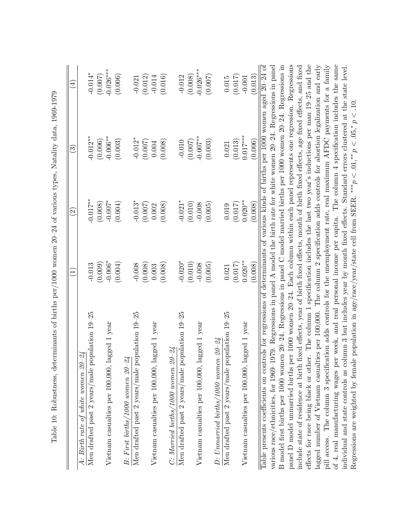|                                                                                                                                     | $\widetilde{\Xi}$ | $\widetilde{\mathcal{S}}$ | ව                                                                                                      | $\widehat{A}$ |
|-------------------------------------------------------------------------------------------------------------------------------------|-------------------|---------------------------|--------------------------------------------------------------------------------------------------------|---------------|
| $A$ : Birth rate of white women $20-24$                                                                                             |                   |                           |                                                                                                        |               |
| Men drafted past 2 years/male population 19–25                                                                                      | $-0.013$          | $-0.017***$               | $-0.012**$                                                                                             | $-0.014*$     |
|                                                                                                                                     | (0.009)           | (0.008)                   | (0.006)                                                                                                | (0.007)       |
| lagged 1 year<br>Vietnam casualties per $100,000,1$                                                                                 | $-0.006*$         | $-0.007*$                 | $-0.000$ **                                                                                            | $-0.026***$   |
|                                                                                                                                     | (0.004)           | (0.004)                   | (0.003)                                                                                                | (0.006)       |
| $B$ : First births/1000 women $20-24$                                                                                               |                   |                           |                                                                                                        |               |
| Men drafted past 2 years/male population 19-25                                                                                      | $-0.008$          | $-0.013*$                 | $-0.012*$                                                                                              | $-0.021$      |
|                                                                                                                                     | (0.008)           | (0.007)                   | (0.007)                                                                                                | (0.012)       |
| Vietnam casualties per 100,000, lagged 1 year                                                                                       | 0.003             | 0.002                     | 0.004                                                                                                  | $-0.014$      |
|                                                                                                                                     | (0.008)           | (0.008)                   | (0.008)                                                                                                | (0.016)       |
| $C:$ Married births/1000 women $20-24$                                                                                              |                   |                           |                                                                                                        |               |
| Men drafted past 2 years/male population 19-25                                                                                      | $-0.020*$         | $-0.021*$                 | $-0.010$                                                                                               | $-0.012$      |
|                                                                                                                                     | (0.010)           | (0.010)                   | (0.007)                                                                                                | (0.008)       |
| lagged 1 year<br>Vietnam casualties per 100,000,                                                                                    | $-0.008$          | $-0.008$                  | $-0.007$ **                                                                                            | $-0.026***$   |
|                                                                                                                                     | (0.005)           | (0.005)                   | (0.003)                                                                                                | (0.007)       |
| $D:$ Unmarried births/1000 women 20-24                                                                                              |                   |                           |                                                                                                        |               |
| Men drafted past 2 years/male population $19-25$                                                                                    | 0.021             | 0.019                     | 0.021                                                                                                  | $0.015\,$     |
|                                                                                                                                     | (0.017)           | (0.017)                   | (0.013)                                                                                                | (0.017)       |
| lagged 1 year<br>Vietnam casualties per 100,000, l                                                                                  | $0.020**$         | $0.020**$                 | $0.017***$                                                                                             | $-0.001$      |
|                                                                                                                                     | (0.008)           | (0.008)                   | (0.006)                                                                                                | (0.013)       |
| Table presents coefficients on controls for regressions of determinants of various kinds of births per 1000 women aged 20–24 of     |                   |                           |                                                                                                        |               |
| various race/ethnicities, for 1969–1979. Regressions in panel A model the birth rate for white women $20-24$ . Regressions in panel |                   |                           |                                                                                                        |               |
| B model first births per 1000 women 20-24. Regressions in panel C model married births per 1000 women 20-24. Regressions in         |                   |                           |                                                                                                        |               |
| panel D model unmarried births per 1000 women 20-24. Each column within each panel represents one regression. Regressions           |                   |                           |                                                                                                        |               |
| include state of residence at birth                                                                                                 |                   |                           | fixed effects, year of birth fixed effects, month of birth fixed effects, age fixed effects, and fixed |               |
| effects for race being black or other. The column 1 specification includes the last two year's inductions per man 19-25 and the     |                   |                           |                                                                                                        |               |
| lagged number of Vietnam casualties per 100,000. The column 2 specification adds controls for abortion legalization and early       |                   |                           |                                                                                                        |               |
| pill access. The column 3 specification adds controls for the unemployment rate, real maximum AFDC payments for a family            |                   |                           |                                                                                                        |               |
| of 4, real manufacturing wages per week, and real personal income per capita. The column 4 specification includes the same          |                   |                           |                                                                                                        |               |
| individual and state controls as column 3 but includes year by month fixed effects. Standard errors clustered at the state level.   |                   |                           |                                                                                                        |               |
| Regressions are weighted by female population in age/race/year/state cell from SEER. *** $p < 0.01$ , ** $p < 0.05$ , * $p < 10$ .  |                   |                           |                                                                                                        |               |

Table 10: Robustness, determinants of births per/1000 women 20-24 of various types, Natality data, 1969-1979 Table 10: Robustness, determinants of births per/1000 women 20–24 of various types, Natality data, 1969-1979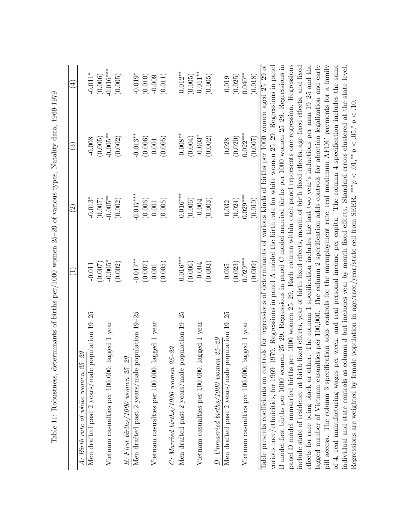|                                                                                                                                               | $\widetilde{\Xi}$ | $\widetilde{\mathcal{S}}$ | $\stackrel{<}{\infty}$ | $\widehat{\mathbb{F}}$ |
|-----------------------------------------------------------------------------------------------------------------------------------------------|-------------------|---------------------------|------------------------|------------------------|
| A: Birth rate of white women $25-29$                                                                                                          |                   |                           |                        |                        |
| Men drafted past 2 years/male population 19–25                                                                                                | $-0.011$          | $-0.013*$                 | $-0.008$               | $-0.011*$              |
|                                                                                                                                               | (0.007)           | (0.007)                   | (0.005)                | (0.006)                |
| Vietnam casualties per 100,000, lagged 1 year                                                                                                 | $-0.005*$         | $-0.005***$               | $-0.005***$            | $-0.016***$            |
|                                                                                                                                               | (0.002)           | (0.002)                   | (0.002)                | (0.005)                |
| $B$ : First births/1000 women $25-29$                                                                                                         |                   |                           |                        |                        |
| Men drafted past 2 years/male population 19-25                                                                                                | $-0.017***$       | $-0.017***$               | $-0.013***$            | $-0.019*$              |
|                                                                                                                                               | (0.007)           | (0.006)                   | (0.006)                | (0.010)                |
| Vietnam casualties per 100,000, lagged 1 year                                                                                                 | 0.001             | $0.001\,$                 | $0.001\,$              | $-0.009$               |
|                                                                                                                                               | (0.005)           | (0.005)                   | (0.005)                | (0.011)                |
| $C:$ Married births/1000 women $25-29$                                                                                                        |                   |                           |                        |                        |
| Men drafted past 2 years/male population $19-25$                                                                                              | $-0.016***$       | $-0.016***$               | $-0.008***$            | $-0.012**$             |
|                                                                                                                                               | (0.006)           | (0.006)                   | (0.004)                | (0.005)                |
| year<br>Vietnam casualties per 100,000, lagged $1\,$                                                                                          | $-0.004$          | $-0.004$                  | $-0.003*$              | $-0.011***$            |
|                                                                                                                                               | (0.003)           | (0.003)                   | (0.002)                | (0.005)                |
| $D:$ Unmarried births/1000 women 25-29                                                                                                        |                   |                           |                        |                        |
| Men drafted past 2 years/male population $19-25$                                                                                              | 0.035             | 0.032                     | 0.028                  | 0.019                  |
|                                                                                                                                               | (0.023)           | (0.024)                   | (0.020)                | (0.025)                |
| Vietnam casualties per 100,000, lagged 1 year                                                                                                 | $0.029***$        | $0.029***$                | $0.022***$             | $0.040**$              |
|                                                                                                                                               | (0.009)           | (0.010)                   | (0.007)                | (0.018)                |
| Table presents coefficients on controls for regressions of determinants of various kinds of births per 1000 women aged 25-29 of               |                   |                           |                        |                        |
| 1979. Regressions in panel A model the birth rate for white women 25-29. Regressions in panel<br>various race/ethnicities, for $1969-1$       |                   |                           |                        |                        |
| B model first births per 1000 women 25-29. Regressions in panel C model married births per 1000 women 25-29. Regressions in                   |                   |                           |                        |                        |
| panel D model unmarried births per 1000 women 25-29. Each column within each panel represents one regression. Regressions                     |                   |                           |                        |                        |
| fixed effects, year of birth fixed effects, month of birth fixed effects, age fixed effects, and fixed<br>include state of residence at birth |                   |                           |                        |                        |
| effects for race being black or other. The column 1 specification includes the last two year's inductions per man 19-25 and the               |                   |                           |                        |                        |
| lagged number of Vietnam casualties per 100,000. The column 2 specification adds controls for abortion legalization and early                 |                   |                           |                        |                        |
| pill access. The column 3 specification adds controls for the unemployment rate, real maximum AFDC payments for a family                      |                   |                           |                        |                        |
| of 4, real manufacturing wages per week, and real personal income per capita. The column 4 specification includes the same                    |                   |                           |                        |                        |
| individual and state controls as column 3 but includes year by month fixed effects. Standard errors clustered at the state level.             |                   |                           |                        |                        |
| Regressions are weighted by female population in age/race/year/state cell from SEER. *** $p < 0.01$ , ** $p < 0.05$ , * $p < 10$ .            |                   |                           |                        |                        |

Table 11: Robustness, determinants of births per/1000 women 25-29 of various types, Natality data, 1969-1979 Table 11: Robustness, determinants of births per/1000 women 25–29 of various types, Natality data, 1969-1979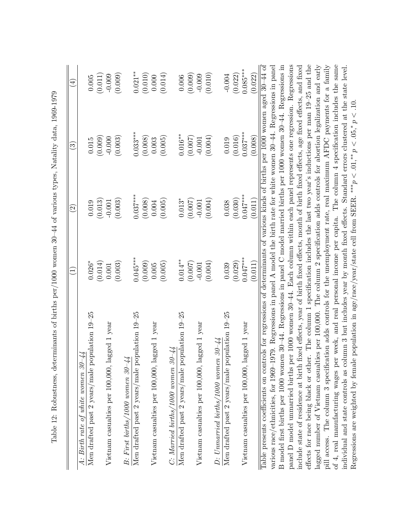|                                                                                                                                   | Ξ          | $\widetilde{\mathcal{S}}$ | $\widetilde{\mathbb{C}}$                                                                               | $(\pm)$    |
|-----------------------------------------------------------------------------------------------------------------------------------|------------|---------------------------|--------------------------------------------------------------------------------------------------------|------------|
| Men drafted past 2 years/male population 19–25<br>A: Birth rate of white women $30-44$                                            | $0.026*$   | 0.019                     | 0.015                                                                                                  | 0.005      |
|                                                                                                                                   | (0.014)    | (0.013)                   | (0.009)                                                                                                | (0.011)    |
| Vietnam casualties per 100,000, lagged 1 year                                                                                     | 0.001      | $-0.001$                  | $-0.000$                                                                                               | $-0.009$   |
|                                                                                                                                   | (0.003)    | (0.003)                   | (0.003)                                                                                                | (0.009)    |
| Men drafted past 2 years/male population 19-25<br>$B$ : First births/1000 women $30-44$                                           | $0.045***$ | $0.037***$                | $0.033***$                                                                                             | $0.021***$ |
|                                                                                                                                   | (0.009)    | (0.008)                   | (0.008)                                                                                                | (0.010)    |
| Vietnam casualties per 100,000, lagged 1 year                                                                                     | 0.005      | 0.004                     | 0.003                                                                                                  | 0.000      |
|                                                                                                                                   | (0.005)    | (0.005)                   | (0.005)                                                                                                | (0.014)    |
| $C:$ Married births/1000 women $30-44$                                                                                            |            |                           |                                                                                                        |            |
| Men drafted past 2 years/male population 19–25                                                                                    | $0.014***$ | $0.013*$                  | $0.016**$                                                                                              | 0.006      |
|                                                                                                                                   | (0.007)    | (0.007)                   | (0.007)                                                                                                | (0.009)    |
| Vietnam casualties per 100,000, lagged 1 year                                                                                     | $-0.001$   | $-0.001$                  | $-0.001$                                                                                               | $-0.009$   |
|                                                                                                                                   | (0.004)    | (0.004)                   | (0.004)                                                                                                | (0.010)    |
| $D:$ Unmarried births/1000 women $30-44$                                                                                          |            |                           |                                                                                                        |            |
| Men drafted past 2 years/male population 19-25                                                                                    | 0.039      | 0.038                     | 0.019                                                                                                  | $-0.004$   |
|                                                                                                                                   | (0.029)    | (0.030)                   | (0.016)                                                                                                | (0.022)    |
| Vietnam casualties per 100,000, lagged 1 year                                                                                     | $0.047***$ | $0.047***$                | $0.037***$                                                                                             | $0.085***$ |
|                                                                                                                                   | (0.011)    | (0.011)                   | (0.008)                                                                                                | (0.022)    |
| Table presents coefficients on controls for regressions of determinants of various kinds of births per 1000 women aged $30-44$ of |            |                           |                                                                                                        |            |
| various race/ethnicities, for $1969-1$                                                                                            |            |                           | 1979. Regressions in panel A model the birth rate for white women $30-44$ . Regressions in panel       |            |
| B model first births per 1000 women 30-44. Regressions in panel C model married births per 1000 women 30-44. Regressions in       |            |                           |                                                                                                        |            |
| panel D model unmarried births per 1000 women 30–44. Each column within each panel represents one regression. Regressions         |            |                           |                                                                                                        |            |
| include state of residence at birth                                                                                               |            |                           | fixed effects, year of birth fixed effects, month of birth fixed effects, age fixed effects, and fixed |            |
| effects for race being black or other. The column 1 specification includes the last two year's inductions per man 19-25 and the   |            |                           |                                                                                                        |            |
| lagged number of Vietnam casualties per 100,000. The column 2 specification adds controls for abortion legalization and early     |            |                           |                                                                                                        |            |
| pill access. The column 3 specification adds controls for the unemployment rate, real maximum AFDC payments for a family          |            |                           |                                                                                                        |            |
| of 4, real manufacturing wages per week, and real personal income per capita. The column 4 specification includes the same        |            |                           |                                                                                                        |            |
| individual and state controls as column 3 but includes year by month fixed effects. Standard errors clustered at the state level. |            |                           |                                                                                                        |            |
| Regressions are weighted by female population in age/race/year/state cell from SEER. *** $p < .01$ , ** $p < .05$ , * $p < .10$ . |            |                           |                                                                                                        |            |

Table 12: Robustness, determinants of births per/1000 women 30-44 of various types, Natality data, 1969-1979 Table 12: Robustness, determinants of births per/1000 women 30–44 of various types, Natality data, 1969-1979